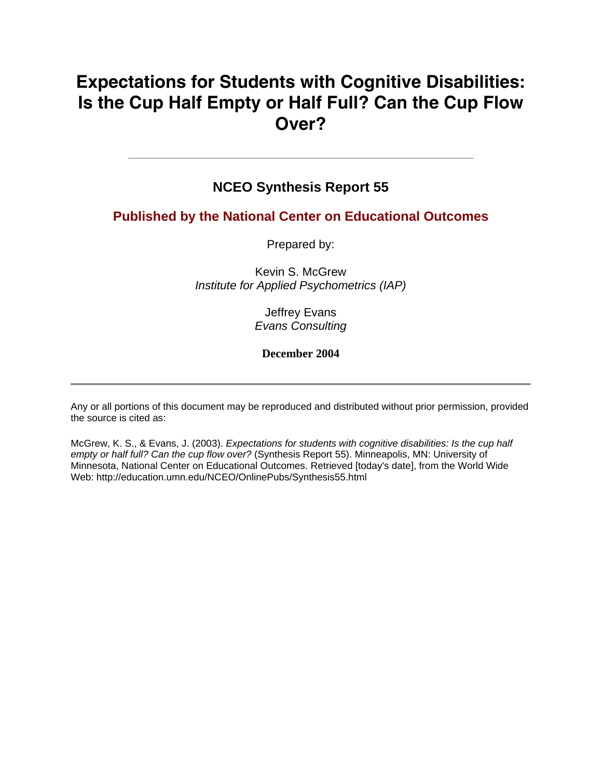# **Expectations for Students with Cognitive Disabilities: Is the Cup Half Empty or Half Full? Can the Cup Flow Over?**

#### **NCEO Synthesis Report 55**

**Published by the National Center on Educational Outcomes** 

Prepared by:

Kevin S. McGrew *Institute for Applied Psychometrics (IAP)* 

> Jeffrey Evans *Evans Consulting*

**December 2004** 

Any or all portions of this document may be reproduced and distributed without prior permission, provided the source is cited as:

McGrew, K. S., & Evans, J. (2003). *Expectations for students with cognitive disabilities: Is the cup half empty or half full? Can the cup flow over?* (Synthesis Report 55). Minneapolis, MN: University of Minnesota, National Center on Educational Outcomes. Retrieved [today's date], from the World Wide Web:<http://education.umn.edu/NCEO/OnlinePubs/Synthesis55.html>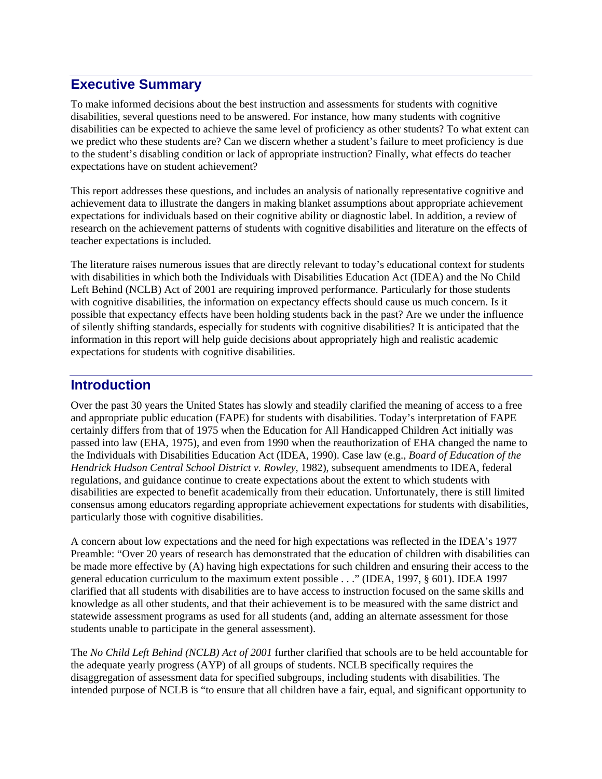#### **Executive Summary**

To make informed decisions about the best instruction and assessments for students with cognitive disabilities, several questions need to be answered. For instance, how many students with cognitive disabilities can be expected to achieve the same level of proficiency as other students? To what extent can we predict who these students are? Can we discern whether a student's failure to meet proficiency is due to the student's disabling condition or lack of appropriate instruction? Finally, what effects do teacher expectations have on student achievement?

This report addresses these questions, and includes an analysis of nationally representative cognitive and achievement data to illustrate the dangers in making blanket assumptions about appropriate achievement expectations for individuals based on their cognitive ability or diagnostic label. In addition, a review of research on the achievement patterns of students with cognitive disabilities and literature on the effects of teacher expectations is included.

The literature raises numerous issues that are directly relevant to today's educational context for students with disabilities in which both the Individuals with Disabilities Education Act (IDEA) and the No Child Left Behind (NCLB) Act of 2001 are requiring improved performance. Particularly for those students with cognitive disabilities, the information on expectancy effects should cause us much concern. Is it possible that expectancy effects have been holding students back in the past? Are we under the influence of silently shifting standards, especially for students with cognitive disabilities? It is anticipated that the information in this report will help guide decisions about appropriately high and realistic academic expectations for students with cognitive disabilities.

#### **Introduction**

Over the past 30 years the United States has slowly and steadily clarified the meaning of access to a free and appropriate public education (FAPE) for students with disabilities. Today's interpretation of FAPE certainly differs from that of 1975 when the Education for All Handicapped Children Act initially was passed into law (EHA, 1975), and even from 1990 when the reauthorization of EHA changed the name to the Individuals with Disabilities Education Act (IDEA, 1990). Case law (e.g., *Board of Education of the Hendrick Hudson Central School District v. Rowley*, 1982), subsequent amendments to IDEA, federal regulations, and guidance continue to create expectations about the extent to which students with disabilities are expected to benefit academically from their education. Unfortunately, there is still limited consensus among educators regarding appropriate achievement expectations for students with disabilities, particularly those with cognitive disabilities.

A concern about low expectations and the need for high expectations was reflected in the IDEA's 1977 Preamble: "Over 20 years of research has demonstrated that the education of children with disabilities can be made more effective by (A) having high expectations for such children and ensuring their access to the general education curriculum to the maximum extent possible . . ." (IDEA, 1997, § 601). IDEA 1997 clarified that all students with disabilities are to have access to instruction focused on the same skills and knowledge as all other students, and that their achievement is to be measured with the same district and statewide assessment programs as used for all students (and, adding an alternate assessment for those students unable to participate in the general assessment).

The *No Child Left Behind (NCLB) Act of 2001* further clarified that schools are to be held accountable for the adequate yearly progress (AYP) of all groups of students. NCLB specifically requires the disaggregation of assessment data for specified subgroups, including students with disabilities. The intended purpose of NCLB is "to ensure that all children have a fair, equal, and significant opportunity to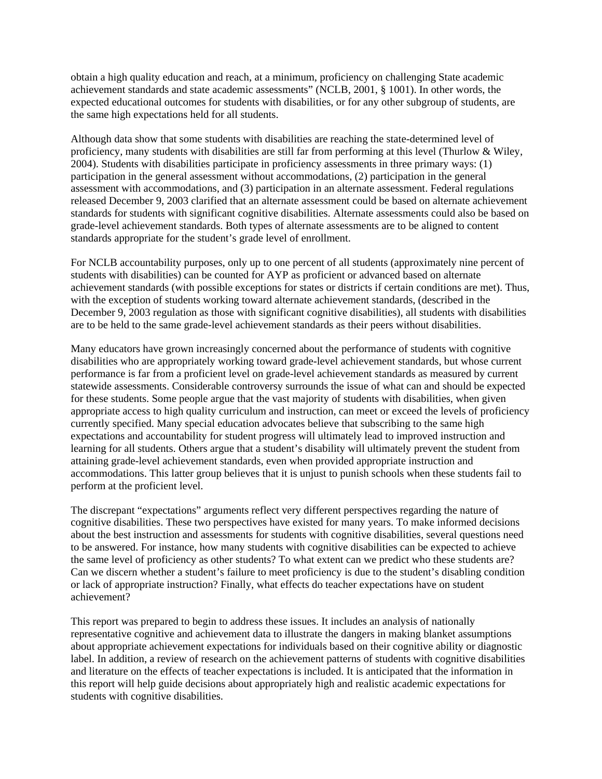obtain a high quality education and reach, at a minimum, proficiency on challenging State academic achievement standards and state academic assessments" (NCLB, 2001, § 1001). In other words, the expected educational outcomes for students with disabilities, or for any other subgroup of students, are the same high expectations held for all students.

Although data show that some students with disabilities are reaching the state-determined level of proficiency, many students with disabilities are still far from performing at this level (Thurlow & Wiley, 2004). Students with disabilities participate in proficiency assessments in three primary ways: (1) participation in the general assessment without accommodations, (2) participation in the general assessment with accommodations, and (3) participation in an alternate assessment. Federal regulations released December 9, 2003 clarified that an alternate assessment could be based on alternate achievement standards for students with significant cognitive disabilities. Alternate assessments could also be based on grade-level achievement standards. Both types of alternate assessments are to be aligned to content standards appropriate for the student's grade level of enrollment.

For NCLB accountability purposes, only up to one percent of all students (approximately nine percent of students with disabilities) can be counted for AYP as proficient or advanced based on alternate achievement standards (with possible exceptions for states or districts if certain conditions are met). Thus, with the exception of students working toward alternate achievement standards, (described in the December 9, 2003 regulation as those with significant cognitive disabilities), all students with disabilities are to be held to the same grade-level achievement standards as their peers without disabilities.

Many educators have grown increasingly concerned about the performance of students with cognitive disabilities who are appropriately working toward grade-level achievement standards, but whose current performance is far from a proficient level on grade-level achievement standards as measured by current statewide assessments. Considerable controversy surrounds the issue of what can and should be expected for these students. Some people argue that the vast majority of students with disabilities, when given appropriate access to high quality curriculum and instruction, can meet or exceed the levels of proficiency currently specified. Many special education advocates believe that subscribing to the same high expectations and accountability for student progress will ultimately lead to improved instruction and learning for all students. Others argue that a student's disability will ultimately prevent the student from attaining grade-level achievement standards, even when provided appropriate instruction and accommodations. This latter group believes that it is unjust to punish schools when these students fail to perform at the proficient level.

The discrepant "expectations" arguments reflect very different perspectives regarding the nature of cognitive disabilities. These two perspectives have existed for many years. To make informed decisions about the best instruction and assessments for students with cognitive disabilities, several questions need to be answered. For instance, how many students with cognitive disabilities can be expected to achieve the same level of proficiency as other students? To what extent can we predict who these students are? Can we discern whether a student's failure to meet proficiency is due to the student's disabling condition or lack of appropriate instruction? Finally, what effects do teacher expectations have on student achievement?

This report was prepared to begin to address these issues. It includes an analysis of nationally representative cognitive and achievement data to illustrate the dangers in making blanket assumptions about appropriate achievement expectations for individuals based on their cognitive ability or diagnostic label. In addition, a review of research on the achievement patterns of students with cognitive disabilities and literature on the effects of teacher expectations is included. It is anticipated that the information in this report will help guide decisions about appropriately high and realistic academic expectations for students with cognitive disabilities.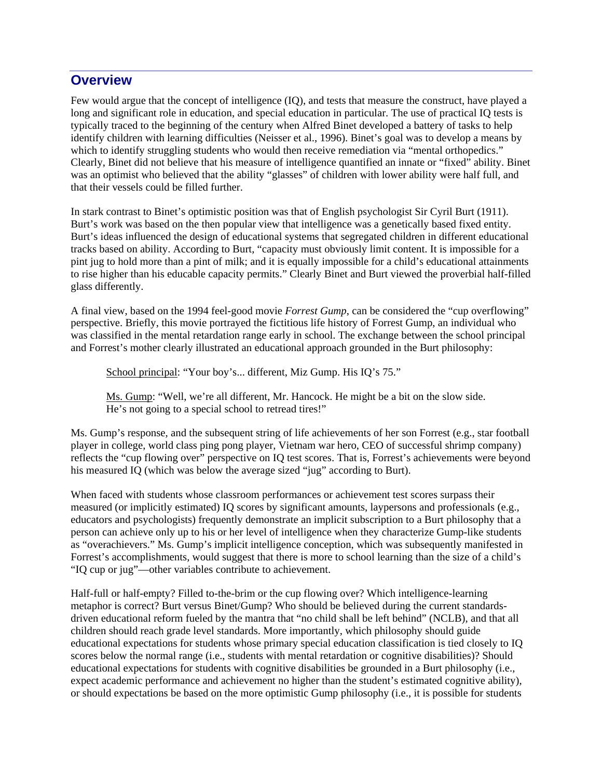#### **Overview**

Few would argue that the concept of intelligence (IQ), and tests that measure the construct, have played a long and significant role in education, and special education in particular. The use of practical IQ tests is typically traced to the beginning of the century when Alfred Binet developed a battery of tasks to help identify children with learning difficulties (Neisser et al., 1996). Binet's goal was to develop a means by which to identify struggling students who would then receive remediation via "mental orthopedics." Clearly, Binet did not believe that his measure of intelligence quantified an innate or "fixed" ability. Binet was an optimist who believed that the ability "glasses" of children with lower ability were half full, and that their vessels could be filled further.

In stark contrast to Binet's optimistic position was that of English psychologist Sir Cyril Burt (1911). Burt's work was based on the then popular view that intelligence was a genetically based fixed entity. Burt's ideas influenced the design of educational systems that segregated children in different educational tracks based on ability. According to Burt, "capacity must obviously limit content. It is impossible for a pint jug to hold more than a pint of milk; and it is equally impossible for a child's educational attainments to rise higher than his educable capacity permits." Clearly Binet and Burt viewed the proverbial half-filled glass differently.

A final view, based on the 1994 feel-good movie *Forrest Gump*, can be considered the "cup overflowing" perspective. Briefly, this movie portrayed the fictitious life history of Forrest Gump, an individual who was classified in the mental retardation range early in school. The exchange between the school principal and Forrest's mother clearly illustrated an educational approach grounded in the Burt philosophy:

School principal: "Your boy's... different, Miz Gump. His IQ's 75."

Ms. Gump: "Well, we're all different, Mr. Hancock. He might be a bit on the slow side. He's not going to a special school to retread tires!"

Ms. Gump's response, and the subsequent string of life achievements of her son Forrest (e.g., star football player in college, world class ping pong player, Vietnam war hero, CEO of successful shrimp company) reflects the "cup flowing over" perspective on IQ test scores. That is, Forrest's achievements were beyond his measured IQ (which was below the average sized "jug" according to Burt).

When faced with students whose classroom performances or achievement test scores surpass their measured (or implicitly estimated) IQ scores by significant amounts, laypersons and professionals (e.g., educators and psychologists) frequently demonstrate an implicit subscription to a Burt philosophy that a person can achieve only up to his or her level of intelligence when they characterize Gump-like students as "overachievers." Ms. Gump's implicit intelligence conception, which was subsequently manifested in Forrest's accomplishments, would suggest that there is more to school learning than the size of a child's "IQ cup or jug"—other variables contribute to achievement.

Half-full or half-empty? Filled to-the-brim or the cup flowing over? Which intelligence-learning metaphor is correct? Burt versus Binet/Gump? Who should be believed during the current standardsdriven educational reform fueled by the mantra that "no child shall be left behind" (NCLB), and that all children should reach grade level standards. More importantly, which philosophy should guide educational expectations for students whose primary special education classification is tied closely to IQ scores below the normal range (i.e., students with mental retardation or cognitive disabilities)? Should educational expectations for students with cognitive disabilities be grounded in a Burt philosophy (i.e., expect academic performance and achievement no higher than the student's estimated cognitive ability), or should expectations be based on the more optimistic Gump philosophy (i.e., it is possible for students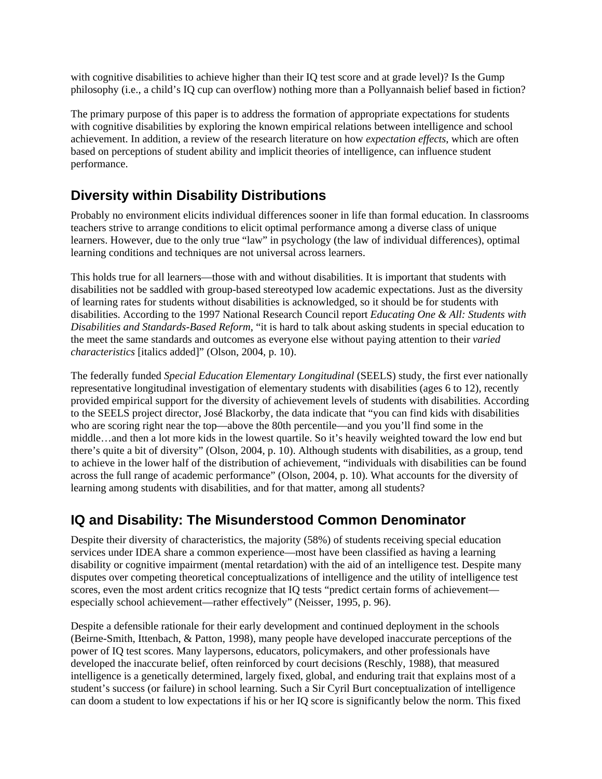with cognitive disabilities to achieve higher than their IQ test score and at grade level)? Is the Gump philosophy (i.e., a child's IQ cup can overflow) nothing more than a Pollyannaish belief based in fiction?

The primary purpose of this paper is to address the formation of appropriate expectations for students with cognitive disabilities by exploring the known empirical relations between intelligence and school achievement. In addition, a review of the research literature on how *expectation effects*, which are often based on perceptions of student ability and implicit theories of intelligence, can influence student performance.

### **Diversity within Disability Distributions**

Probably no environment elicits individual differences sooner in life than formal education. In classrooms teachers strive to arrange conditions to elicit optimal performance among a diverse class of unique learners. However, due to the only true "law" in psychology (the law of individual differences), optimal learning conditions and techniques are not universal across learners.

This holds true for all learners—those with and without disabilities. It is important that students with disabilities not be saddled with group-based stereotyped low academic expectations. Just as the diversity of learning rates for students without disabilities is acknowledged, so it should be for students with disabilities. According to the 1997 National Research Council report *Educating One & All: Students with Disabilities and Standards-Based Reform*, "it is hard to talk about asking students in special education to the meet the same standards and outcomes as everyone else without paying attention to their *varied characteristics* [italics added]" (Olson, 2004, p. 10).

The federally funded *Special Education Elementary Longitudinal* (SEELS) study, the first ever nationally representative longitudinal investigation of elementary students with disabilities (ages 6 to 12), recently provided empirical support for the diversity of achievement levels of students with disabilities. According to the SEELS project director, José Blackorby, the data indicate that "you can find kids with disabilities who are scoring right near the top—above the 80th percentile—and you you'll find some in the middle…and then a lot more kids in the lowest quartile. So it's heavily weighted toward the low end but there's quite a bit of diversity" (Olson, 2004, p. 10). Although students with disabilities, as a group, tend to achieve in the lower half of the distribution of achievement, "individuals with disabilities can be found across the full range of academic performance" (Olson, 2004, p. 10). What accounts for the diversity of learning among students with disabilities, and for that matter, among all students?

### **IQ and Disability: The Misunderstood Common Denominator**

Despite their diversity of characteristics, the majority (58%) of students receiving special education services under IDEA share a common experience—most have been classified as having a learning disability or cognitive impairment (mental retardation) with the aid of an intelligence test. Despite many disputes over competing theoretical conceptualizations of intelligence and the utility of intelligence test scores, even the most ardent critics recognize that IQ tests "predict certain forms of achievement especially school achievement—rather effectively" (Neisser, 1995, p. 96).

Despite a defensible rationale for their early development and continued deployment in the schools (Beirne-Smith, Ittenbach, & Patton, 1998), many people have developed inaccurate perceptions of the power of IQ test scores. Many laypersons, educators, policymakers, and other professionals have developed the inaccurate belief, often reinforced by court decisions (Reschly, 1988), that measured intelligence is a genetically determined, largely fixed, global, and enduring trait that explains most of a student's success (or failure) in school learning. Such a Sir Cyril Burt conceptualization of intelligence can doom a student to low expectations if his or her IQ score is significantly below the norm. This fixed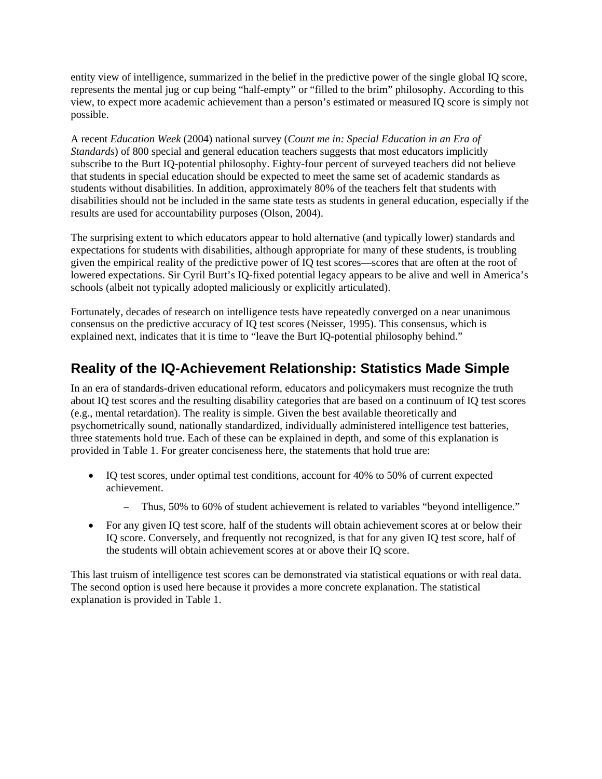entity view of intelligence, summarized in the belief in the predictive power of the single global IQ score, represents the mental jug or cup being "half-empty" or "filled to the brim" philosophy. According to this view, to expect more academic achievement than a person's estimated or measured IQ score is simply not possible.

A recent *Education Week* (2004) national survey (*Count me in: Special Education in an Era of Standards*) of 800 special and general education teachers suggests that most educators implicitly subscribe to the Burt IQ-potential philosophy. Eighty-four percent of surveyed teachers did not believe that students in special education should be expected to meet the same set of academic standards as students without disabilities. In addition, approximately 80% of the teachers felt that students with disabilities should not be included in the same state tests as students in general education, especially if the results are used for accountability purposes (Olson, 2004).

The surprising extent to which educators appear to hold alternative (and typically lower) standards and expectations for students with disabilities, although appropriate for many of these students, is troubling given the empirical reality of the predictive power of IQ test scores—scores that are often at the root of lowered expectations. Sir Cyril Burt's IQ-fixed potential legacy appears to be alive and well in America's schools (albeit not typically adopted maliciously or explicitly articulated).

Fortunately, decades of research on intelligence tests have repeatedly converged on a near unanimous consensus on the predictive accuracy of IQ test scores (Neisser, 1995). This consensus, which is explained next, indicates that it is time to "leave the Burt IQ-potential philosophy behind."

### **Reality of the IQ-Achievement Relationship: Statistics Made Simple**

In an era of standards-driven educational reform, educators and policymakers must recognize the truth about IQ test scores and the resulting disability categories that are based on a continuum of IQ test scores (e.g., mental retardation). The reality is simple. Given the best available theoretically and psychometrically sound, nationally standardized, individually administered intelligence test batteries, three statements hold true. Each of these can be explained in depth, and some of this explanation is provided in Table 1. For greater conciseness here, the statements that hold true are:

- IQ test scores, under optimal test conditions, account for 40% to 50% of current expected achievement.
	- Thus, 50% to 60% of student achievement is related to variables "beyond intelligence."
- For any given IQ test score, half of the students will obtain achievement scores at or below their IQ score. Conversely, and frequently not recognized, is that for any given IQ test score, half of the students will obtain achievement scores at or above their IQ score.

This last truism of intelligence test scores can be demonstrated via statistical equations or with real data. The second option is used here because it provides a more concrete explanation. The statistical explanation is provided in Table 1.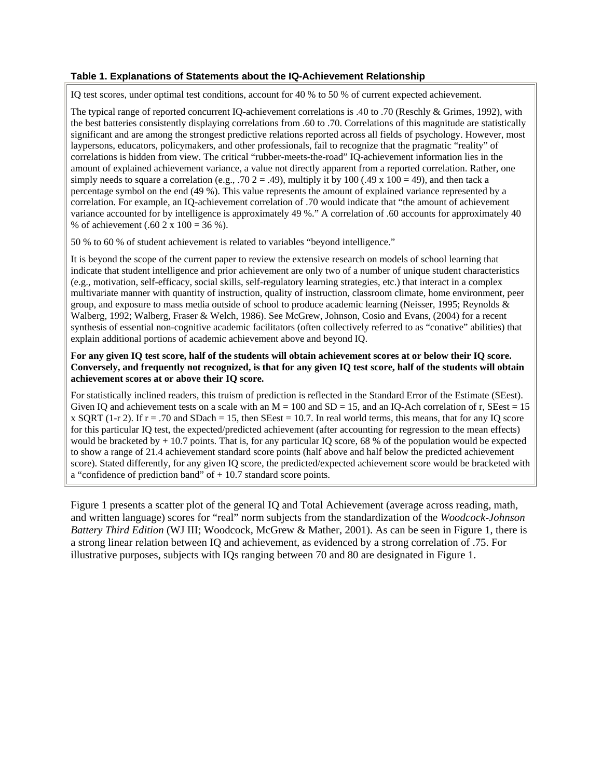#### **Table 1. Explanations of Statements about the IQ-Achievement Relationship**

IQ test scores, under optimal test conditions, account for 40 % to 50 % of current expected achievement.

 IQ test scores, under optimal test conditions, account for 40 % to 50 % of current expected achievement. The typical range of reported concurrent IQ-achievement correlations is .40 to .70 (Reschly & Grimes, 1992), with the best batteries consistently displaying correlations from .60 to .70. Correlations of this magnitude are statistically significant and are among the strongest predictive relations reported across all fields of psychology. However, most laypersons, educators, policymakers, and other professionals, fail to recognize that the pragmatic "reality" of correlations is hidden from view. The critical "rubber-meets-the-road" IQ-achievement information lies in the amount of explained achievement variance, a value not directly apparent from a reported correlation. Rather, one simply needs to square a correlation (e.g., .70 2 = .49), multiply it by 100 (.49 x 100 = 49), and then tack a percentage symbol on the end (49 %). This value represents the amount of explained variance represented by a correlation. For example, an IQ-achievement correlation of .70 would indicate that "the amount of achievement variance accounted for by intelligence is approximately 49 %." A correlation of .60 accounts for approximately 40 % of achievement  $(.60 \ 2 \times 100 = 36 \%)$ .

50 % to 60 % of student achievement is related to variables "beyond intelligence."

 Walberg, 1992; Walberg, Fraser & Welch, 1986). See McGrew, Johnson, Cosio and Evans, (2004) for a recent It is beyond the scope of the current paper to review the extensive research on models of school learning that indicate that student intelligence and prior achievement are only two of a number of unique student characteristics (e.g., motivation, self-efficacy, social skills, self-regulatory learning strategies, etc.) that interact in a complex multivariate manner with quantity of instruction, quality of instruction, classroom climate, home environment, peer group, and exposure to mass media outside of school to produce academic learning (Neisser, 1995; Reynolds & synthesis of essential non-cognitive academic facilitators (often collectively referred to as "conative" abilities) that explain additional portions of academic achievement above and beyond IQ.

#### **For any given IQ test score, half of the students will obtain achievement scores at or below their IQ score. Conversely, and frequently not recognized, is that for any given IQ test score, half of the students will obtain achievement scores at or above their IQ score.**

x SQRT  $(1-r 2)$ . If  $r = .70$  and SDach = 15, then SEest = 10.7. In real world terms, this means, that for any IQ score for this particular IQ test, the expected/predicted achievement (after accounting for regression to the mean effects) score). Stated differently, for any given IQ score, the predicted/expected achievement score would be bracketed with For statistically inclined readers, this truism of prediction is reflected in the Standard Error of the Estimate (SEest). Given IQ and achievement tests on a scale with an  $M = 100$  and  $SD = 15$ , and an IQ-Ach correlation of r, SEest = 15 would be bracketed by + 10.7 points. That is, for any particular IQ score, 68 % of the population would be expected to show a range of 21.4 achievement standard score points (half above and half below the predicted achievement a "confidence of prediction band" of + 10.7 standard score points.

Figure 1 presents a scatter plot of the general IQ and Total Achievement (average across reading, math, and written language) scores for "real" norm subjects from the standardization of the *Woodcock-Johnson Battery Third Edition* (WJ III; Woodcock, McGrew & Mather, 2001). As can be seen in Figure 1, there is a strong linear relation between IQ and achievement, as evidenced by a strong correlation of .75. For illustrative purposes, subjects with IQs ranging between 70 and 80 are designated in Figure 1.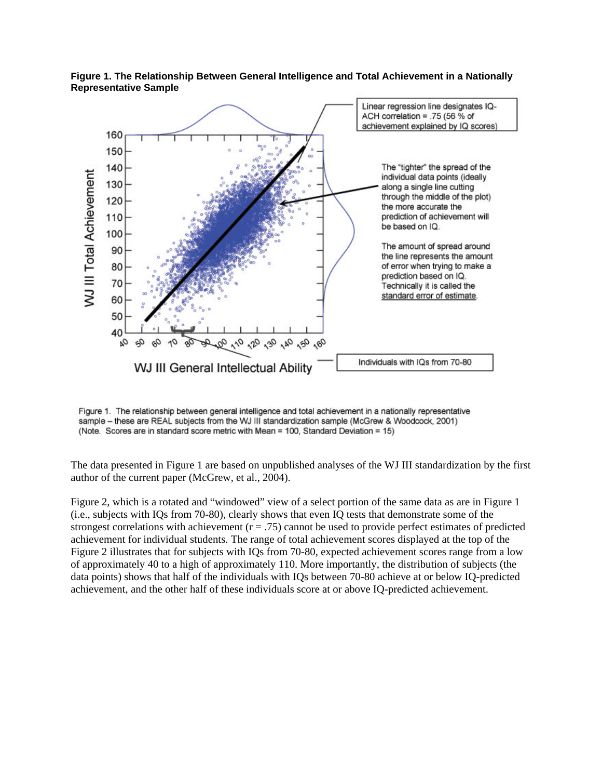

**Figure 1. The Relationship Between General Intelligence and Total Achievement in a Nationally Representative Sample** 

Figure 1. The relationship between general intelligence and total achievement in a nationally representative sample - these are REAL subjects from the WJ III standardization sample (McGrew & Woodcock, 2001) (Note. Scores are in standard score metric with Mean = 100, Standard Deviation = 15)

The data presented in Figure 1 are based on unpublished analyses of the WJ III standardization by the first author of the current paper (McGrew, et al., 2004).

Figure 2, which is a rotated and "windowed" view of a select portion of the same data as are in Figure 1 (i.e., subjects with IQs from 70-80), clearly shows that even IQ tests that demonstrate some of the strongest correlations with achievement  $(r = .75)$  cannot be used to provide perfect estimates of predicted achievement for individual students. The range of total achievement scores displayed at the top of the Figure 2 illustrates that for subjects with IQs from 70-80, expected achievement scores range from a low of approximately 40 to a high of approximately 110. More importantly, the distribution of subjects (the data points) shows that half of the individuals with IQs between 70-80 achieve at or below IQ-predicted achievement, and the other half of these individuals score at or above IQ-predicted achievement.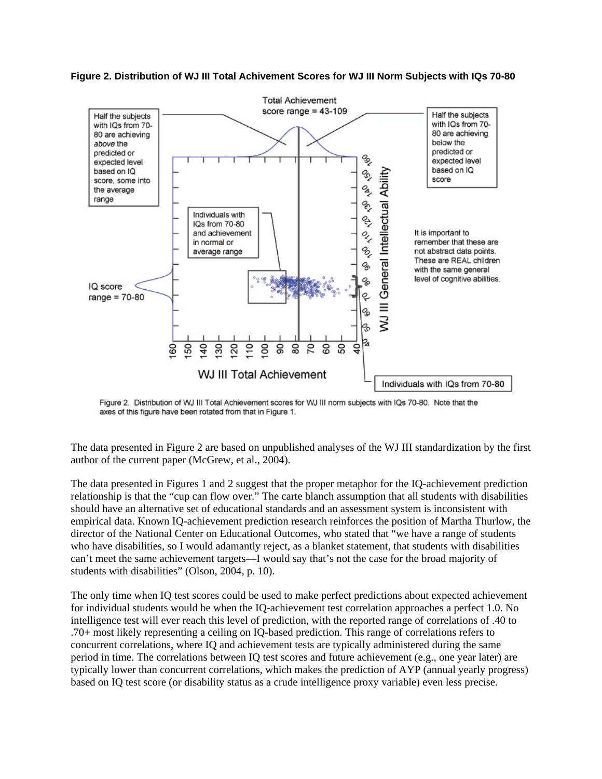**Figure 2. Distribution of WJ III Total Achivement Scores for WJ III Norm Subjects with IQs 70-80** 



Figure 2. Distribution of WJ III Total Achievement scores for WJ III norm subjects with IQs 70-80. Note that the axes of this figure have been rotated from that in Figure 1.

The data presented in Figure 2 are based on unpublished analyses of the WJ III standardization by the first author of the current paper (McGrew, et al., 2004).

The data presented in Figures 1 and 2 suggest that the proper metaphor for the IQ-achievement prediction relationship is that the "cup can flow over." The carte blanch assumption that all students with disabilities should have an alternative set of educational standards and an assessment system is inconsistent with empirical data. Known IQ-achievement prediction research reinforces the position of Martha Thurlow, the director of the National Center on Educational Outcomes, who stated that "we have a range of students who have disabilities, so I would adamantly reject, as a blanket statement, that students with disabilities can't meet the same achievement targets—I would say that's not the case for the broad majority of students with disabilities" (Olson, 2004, p. 10).

The only time when IQ test scores could be used to make perfect predictions about expected achievement for individual students would be when the IQ-achievement test correlation approaches a perfect 1.0. No intelligence test will ever reach this level of prediction, with the reported range of correlations of .40 to .70+ most likely representing a ceiling on IQ-based prediction. This range of correlations refers to concurrent correlations, where IQ and achievement tests are typically administered during the same period in time. The correlations between IQ test scores and future achievement (e.g., one year later) are typically lower than concurrent correlations, which makes the prediction of AYP (annual yearly progress) based on IQ test score (or disability status as a crude intelligence proxy variable) even less precise.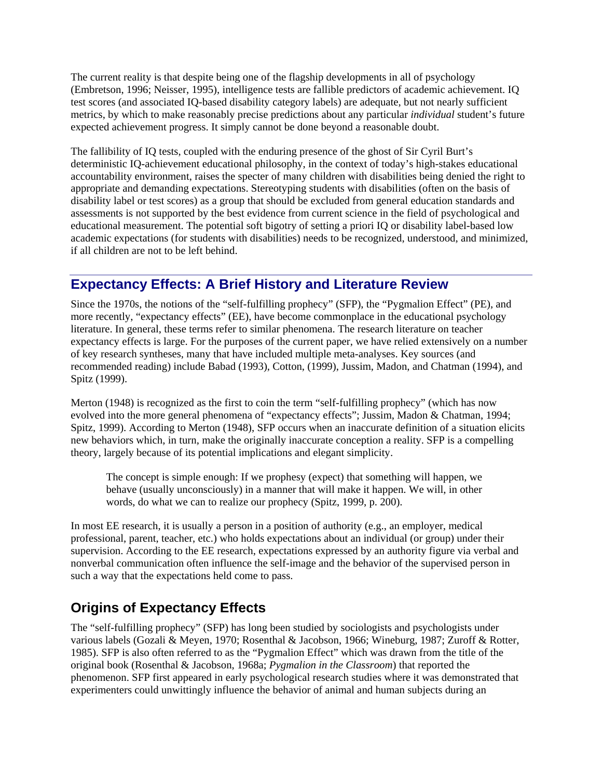The current reality is that despite being one of the flagship developments in all of psychology (Embretson, 1996; Neisser, 1995), intelligence tests are fallible predictors of academic achievement. IQ test scores (and associated IQ-based disability category labels) are adequate, but not nearly sufficient metrics, by which to make reasonably precise predictions about any particular *individual* student's future expected achievement progress. It simply cannot be done beyond a reasonable doubt.

The fallibility of IQ tests, coupled with the enduring presence of the ghost of Sir Cyril Burt's deterministic IQ-achievement educational philosophy, in the context of today's high-stakes educational accountability environment, raises the specter of many children with disabilities being denied the right to appropriate and demanding expectations. Stereotyping students with disabilities (often on the basis of disability label or test scores) as a group that should be excluded from general education standards and assessments is not supported by the best evidence from current science in the field of psychological and educational measurement. The potential soft bigotry of setting a priori IQ or disability label-based low academic expectations (for students with disabilities) needs to be recognized, understood, and minimized, if all children are not to be left behind.

#### **Expectancy Effects: A Brief History and Literature Review**

Since the 1970s, the notions of the "self-fulfilling prophecy" (SFP), the "Pygmalion Effect" (PE), and more recently, "expectancy effects" (EE), have become commonplace in the educational psychology literature. In general, these terms refer to similar phenomena. The research literature on teacher expectancy effects is large. For the purposes of the current paper, we have relied extensively on a number of key research syntheses, many that have included multiple meta-analyses. Key sources (and recommended reading) include Babad (1993), Cotton, (1999), Jussim, Madon, and Chatman (1994), and Spitz (1999).

Merton (1948) is recognized as the first to coin the term "self-fulfilling prophecy" (which has now evolved into the more general phenomena of "expectancy effects"; Jussim, Madon & Chatman, 1994; Spitz, 1999). According to Merton (1948), SFP occurs when an inaccurate definition of a situation elicits new behaviors which, in turn, make the originally inaccurate conception a reality. SFP is a compelling theory, largely because of its potential implications and elegant simplicity.

The concept is simple enough: If we prophesy (expect) that something will happen, we behave (usually unconsciously) in a manner that will make it happen. We will, in other words, do what we can to realize our prophecy (Spitz, 1999, p. 200).

In most EE research, it is usually a person in a position of authority (e.g., an employer, medical professional, parent, teacher, etc.) who holds expectations about an individual (or group) under their supervision. According to the EE research, expectations expressed by an authority figure via verbal and nonverbal communication often influence the self-image and the behavior of the supervised person in such a way that the expectations held come to pass.

#### **Origins of Expectancy Effects**

The "self-fulfilling prophecy" (SFP) has long been studied by sociologists and psychologists under various labels (Gozali & Meyen, 1970; Rosenthal & Jacobson, 1966; Wineburg, 1987; Zuroff & Rotter, 1985). SFP is also often referred to as the "Pygmalion Effect" which was drawn from the title of the original book (Rosenthal & Jacobson, 1968a; *Pygmalion in the Classroom*) that reported the phenomenon. SFP first appeared in early psychological research studies where it was demonstrated that experimenters could unwittingly influence the behavior of animal and human subjects during an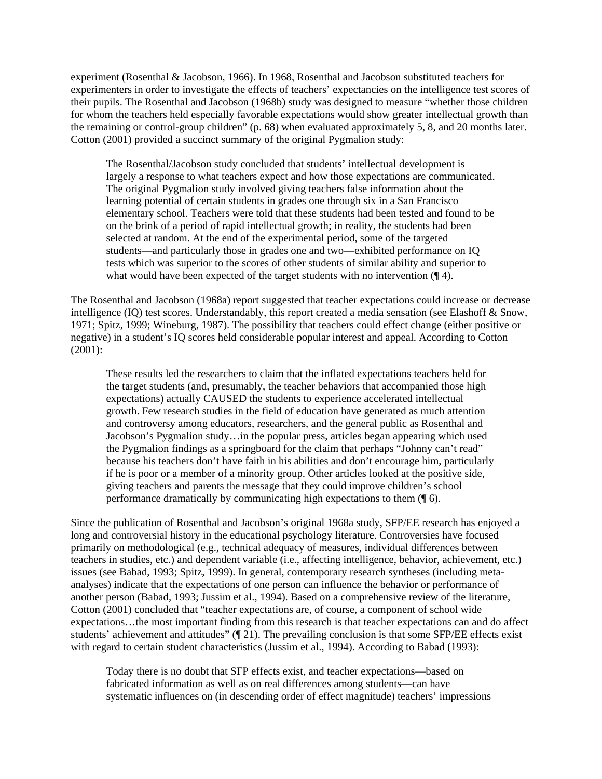experiment (Rosenthal & Jacobson, 1966). In 1968, Rosenthal and Jacobson substituted teachers for experimenters in order to investigate the effects of teachers' expectancies on the intelligence test scores of their pupils. The Rosenthal and Jacobson (1968b) study was designed to measure "whether those children for whom the teachers held especially favorable expectations would show greater intellectual growth than the remaining or control-group children" (p. 68) when evaluated approximately 5, 8, and 20 months later. Cotton (2001) provided a succinct summary of the original Pygmalion study:

The Rosenthal/Jacobson study concluded that students' intellectual development is largely a response to what teachers expect and how those expectations are communicated. The original Pygmalion study involved giving teachers false information about the learning potential of certain students in grades one through six in a San Francisco elementary school. Teachers were told that these students had been tested and found to be on the brink of a period of rapid intellectual growth; in reality, the students had been selected at random. At the end of the experimental period, some of the targeted students—and particularly those in grades one and two—exhibited performance on IQ tests which was superior to the scores of other students of similar ability and superior to what would have been expected of the target students with no intervention ( $\P$ 4).

The Rosenthal and Jacobson (1968a) report suggested that teacher expectations could increase or decrease intelligence (IQ) test scores. Understandably, this report created a media sensation (see Elashoff & Snow, 1971; Spitz, 1999; Wineburg, 1987). The possibility that teachers could effect change (either positive or negative) in a student's IQ scores held considerable popular interest and appeal. According to Cotton (2001):

These results led the researchers to claim that the inflated expectations teachers held for the target students (and, presumably, the teacher behaviors that accompanied those high expectations) actually CAUSED the students to experience accelerated intellectual growth. Few research studies in the field of education have generated as much attention and controversy among educators, researchers, and the general public as Rosenthal and Jacobson's Pygmalion study…in the popular press, articles began appearing which used the Pygmalion findings as a springboard for the claim that perhaps "Johnny can't read" because his teachers don't have faith in his abilities and don't encourage him, particularly if he is poor or a member of a minority group. Other articles looked at the positive side, giving teachers and parents the message that they could improve children's school performance dramatically by communicating high expectations to them (¶ 6).

Since the publication of Rosenthal and Jacobson's original 1968a study, SFP/EE research has enjoyed a long and controversial history in the educational psychology literature. Controversies have focused primarily on methodological (e.g., technical adequacy of measures, individual differences between teachers in studies, etc.) and dependent variable (i.e., affecting intelligence, behavior, achievement, etc.) issues (see Babad, 1993; Spitz, 1999). In general, contemporary research syntheses (including metaanalyses) indicate that the expectations of one person can influence the behavior or performance of another person (Babad, 1993; Jussim et al., 1994). Based on a comprehensive review of the literature, Cotton (2001) concluded that "teacher expectations are, of course, a component of school wide expectations…the most important finding from this research is that teacher expectations can and do affect students' achievement and attitudes" (¶ 21). The prevailing conclusion is that some SFP/EE effects exist with regard to certain student characteristics (Jussim et al., 1994). According to Babad (1993):

Today there is no doubt that SFP effects exist, and teacher expectations—based on fabricated information as well as on real differences among students—can have systematic influences on (in descending order of effect magnitude) teachers' impressions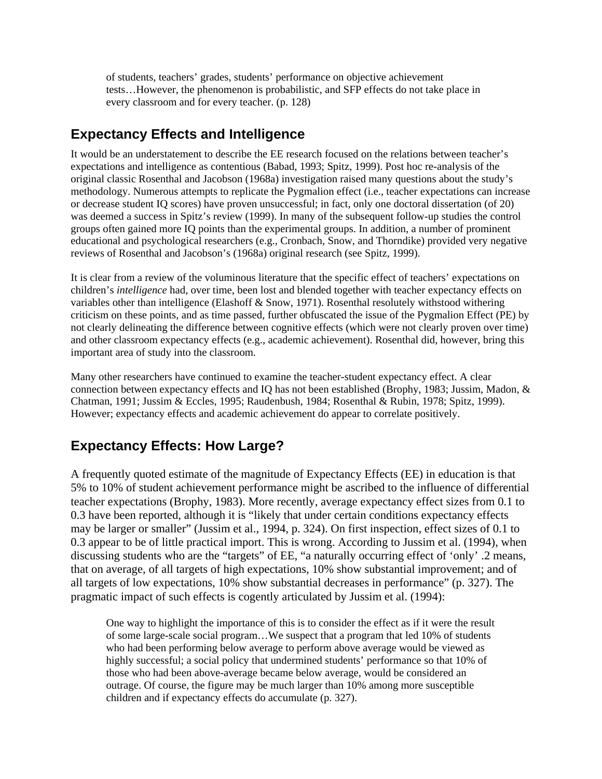of students, teachers' grades, students' performance on objective achievement tests…However, the phenomenon is probabilistic, and SFP effects do not take place in every classroom and for every teacher. (p. 128)

### **Expectancy Effects and Intelligence**

It would be an understatement to describe the EE research focused on the relations between teacher's expectations and intelligence as contentious (Babad, 1993; Spitz, 1999). Post hoc re-analysis of the original classic Rosenthal and Jacobson (1968a) investigation raised many questions about the study's methodology. Numerous attempts to replicate the Pygmalion effect (i.e., teacher expectations can increase or decrease student IQ scores) have proven unsuccessful; in fact, only one doctoral dissertation (of 20) was deemed a success in Spitz's review (1999). In many of the subsequent follow-up studies the control groups often gained more IQ points than the experimental groups. In addition, a number of prominent educational and psychological researchers (e.g., Cronbach, Snow, and Thorndike) provided very negative reviews of Rosenthal and Jacobson's (1968a) original research (see Spitz, 1999).

It is clear from a review of the voluminous literature that the specific effect of teachers' expectations on children's *intelligence* had, over time, been lost and blended together with teacher expectancy effects on variables other than intelligence (Elashoff & Snow, 1971). Rosenthal resolutely withstood withering criticism on these points, and as time passed, further obfuscated the issue of the Pygmalion Effect (PE) by not clearly delineating the difference between cognitive effects (which were not clearly proven over time) and other classroom expectancy effects (e.g., academic achievement). Rosenthal did, however, bring this important area of study into the classroom.

 However; expectancy effects and academic achievement do appear to correlate positively. Many other researchers have continued to examine the teacher-student expectancy effect. A clear connection between expectancy effects and IQ has not been established (Brophy, 1983; Jussim, Madon, & Chatman, 1991; Jussim & Eccles, 1995; Raudenbush, 1984; Rosenthal & Rubin, 1978; Spitz, 1999).

## **Expectancy Effects: How Large?**

A frequently quoted estimate of the magnitude of Expectancy Effects (EE) in education is that 5% to 10% of student achievement performance might be ascribed to the influence of differential teacher expectations (Brophy, 1983). More recently, average expectancy effect sizes from 0.1 to 0.3 have been reported, although it is "likely that under certain conditions expectancy effects may be larger or smaller" (Jussim et al., 1994, p. 324). On first inspection, effect sizes of 0.1 to 0.3 appear to be of little practical import. This is wrong. According to Jussim et al. (1994), when discussing students who are the "targets" of EE, "a naturally occurring effect of 'only' .2 means, that on average, of all targets of high expectations, 10% show substantial improvement; and of all targets of low expectations, 10% show substantial decreases in performance" (p. 327). The pragmatic impact of such effects is cogently articulated by Jussim et al. (1994):

One way to highlight the importance of this is to consider the effect as if it were the result of some large-scale social program…We suspect that a program that led 10% of students who had been performing below average to perform above average would be viewed as highly successful; a social policy that undermined students' performance so that 10% of those who had been above-average became below average, would be considered an outrage. Of course, the figure may be much larger than 10% among more susceptible children and if expectancy effects do accumulate (p. 327).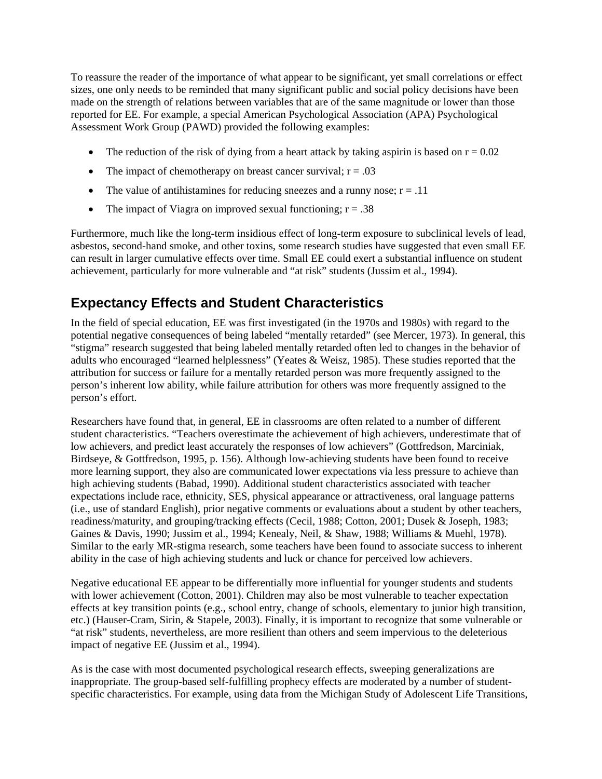To reassure the reader of the importance of what appear to be significant, yet small correlations or effect sizes, one only needs to be reminded that many significant public and social policy decisions have been made on the strength of relations between variables that are of the same magnitude or lower than those reported for EE. For example, a special American Psychological Association (APA) Psychological Assessment Work Group (PAWD) provided the following examples:

- The reduction of the risk of dying from a heart attack by taking aspirin is based on  $r = 0.02$
- The impact of chemotherapy on breast cancer survival;  $r = .03$
- The value of antihistamines for reducing sneezes and a runny nose;  $r = .11$
- The impact of Viagra on improved sexual functioning;  $r = .38$

Furthermore, much like the long-term insidious effect of long-term exposure to subclinical levels of lead, asbestos, second-hand smoke, and other toxins, some research studies have suggested that even small EE can result in larger cumulative effects over time. Small EE could exert a substantial influence on student achievement, particularly for more vulnerable and "at risk" students (Jussim et al., 1994).

### **Expectancy Effects and Student Characteristics**

In the field of special education, EE was first investigated (in the 1970s and 1980s) with regard to the potential negative consequences of being labeled "mentally retarded" (see Mercer, 1973). In general, this "stigma" research suggested that being labeled mentally retarded often led to changes in the behavior of adults who encouraged "learned helplessness" (Yeates & Weisz, 1985). These studies reported that the attribution for success or failure for a mentally retarded person was more frequently assigned to the person's inherent low ability, while failure attribution for others was more frequently assigned to the person's effort.

Researchers have found that, in general, EE in classrooms are often related to a number of different student characteristics. "Teachers overestimate the achievement of high achievers, underestimate that of low achievers, and predict least accurately the responses of low achievers" (Gottfredson, Marciniak, Birdseye, & Gottfredson, 1995, p. 156). Although low-achieving students have been found to receive more learning support, they also are communicated lower expectations via less pressure to achieve than high achieving students (Babad, 1990). Additional student characteristics associated with teacher expectations include race, ethnicity, SES, physical appearance or attractiveness, oral language patterns (i.e., use of standard English), prior negative comments or evaluations about a student by other teachers, readiness/maturity, and grouping/tracking effects (Cecil, 1988; Cotton, 2001; Dusek & Joseph, 1983; Gaines & Davis, 1990; Jussim et al., 1994; Kenealy, Neil, & Shaw, 1988; Williams & Muehl, 1978). Similar to the early MR-stigma research, some teachers have been found to associate success to inherent ability in the case of high achieving students and luck or chance for perceived low achievers.

Negative educational EE appear to be differentially more influential for younger students and students with lower achievement (Cotton, 2001). Children may also be most vulnerable to teacher expectation effects at key transition points (e.g., school entry, change of schools, elementary to junior high transition, etc.) (Hauser-Cram, Sirin, & Stapele, 2003). Finally, it is important to recognize that some vulnerable or "at risk" students, nevertheless, are more resilient than others and seem impervious to the deleterious impact of negative EE (Jussim et al., 1994).

As is the case with most documented psychological research effects, sweeping generalizations are inappropriate. The group-based self-fulfilling prophecy effects are moderated by a number of studentspecific characteristics. For example, using data from the Michigan Study of Adolescent Life Transitions,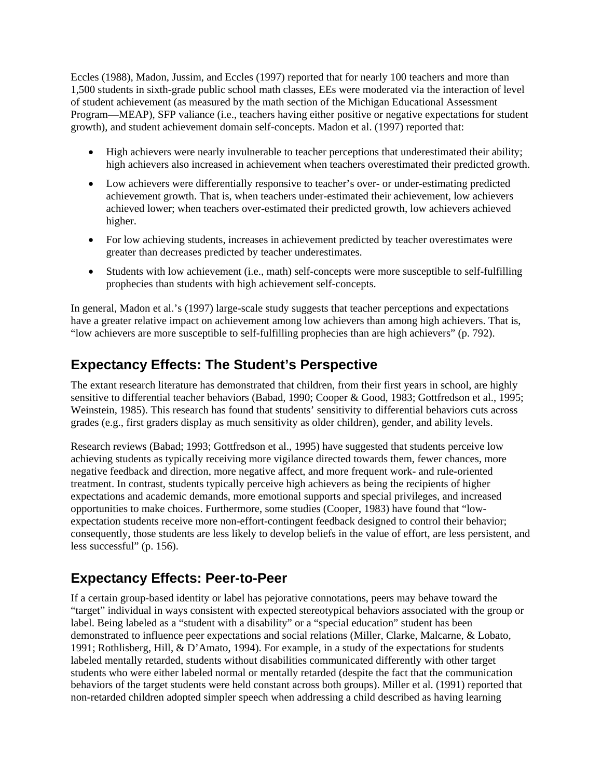Eccles (1988), Madon, Jussim, and Eccles (1997) reported that for nearly 100 teachers and more than 1,500 students in sixth-grade public school math classes, EEs were moderated via the interaction of level of student achievement (as measured by the math section of the Michigan Educational Assessment Program—MEAP), SFP valiance (i.e., teachers having either positive or negative expectations for student growth), and student achievement domain self-concepts. Madon et al. (1997) reported that:

- High achievers were nearly invulnerable to teacher perceptions that underestimated their ability; high achievers also increased in achievement when teachers overestimated their predicted growth.
- Low achievers were differentially responsive to teacher's over- or under-estimating predicted achievement growth. That is, when teachers under-estimated their achievement, low achievers achieved lower; when teachers over-estimated their predicted growth, low achievers achieved higher.
- For low achieving students, increases in achievement predicted by teacher overestimates were greater than decreases predicted by teacher underestimates.
- Students with low achievement (i.e., math) self-concepts were more susceptible to self-fulfilling prophecies than students with high achievement self-concepts.

In general, Madon et al.'s (1997) large-scale study suggests that teacher perceptions and expectations have a greater relative impact on achievement among low achievers than among high achievers. That is, "low achievers are more susceptible to self-fulfilling prophecies than are high achievers" (p. 792).

#### **Expectancy Effects: The Student's Perspective**

The extant research literature has demonstrated that children, from their first years in school, are highly sensitive to differential teacher behaviors (Babad, 1990; Cooper & Good, 1983; Gottfredson et al., 1995; Weinstein, 1985). This research has found that students' sensitivity to differential behaviors cuts across grades (e.g., first graders display as much sensitivity as older children), gender, and ability levels.

Research reviews (Babad; 1993; Gottfredson et al., 1995) have suggested that students perceive low achieving students as typically receiving more vigilance directed towards them, fewer chances, more negative feedback and direction, more negative affect, and more frequent work- and rule-oriented treatment. In contrast, students typically perceive high achievers as being the recipients of higher expectations and academic demands, more emotional supports and special privileges, and increased opportunities to make choices. Furthermore, some studies (Cooper, 1983) have found that "lowexpectation students receive more non-effort-contingent feedback designed to control their behavior; consequently, those students are less likely to develop beliefs in the value of effort, are less persistent, and less successful" (p. 156).

#### **Expectancy Effects: Peer-to-Peer**

If a certain group-based identity or label has pejorative connotations, peers may behave toward the "target" individual in ways consistent with expected stereotypical behaviors associated with the group or label. Being labeled as a "student with a disability" or a "special education" student has been demonstrated to influence peer expectations and social relations (Miller, Clarke, Malcarne, & Lobato, 1991; Rothlisberg, Hill, & D'Amato, 1994). For example, in a study of the expectations for students labeled mentally retarded, students without disabilities communicated differently with other target students who were either labeled normal or mentally retarded (despite the fact that the communication behaviors of the target students were held constant across both groups). Miller et al. (1991) reported that non-retarded children adopted simpler speech when addressing a child described as having learning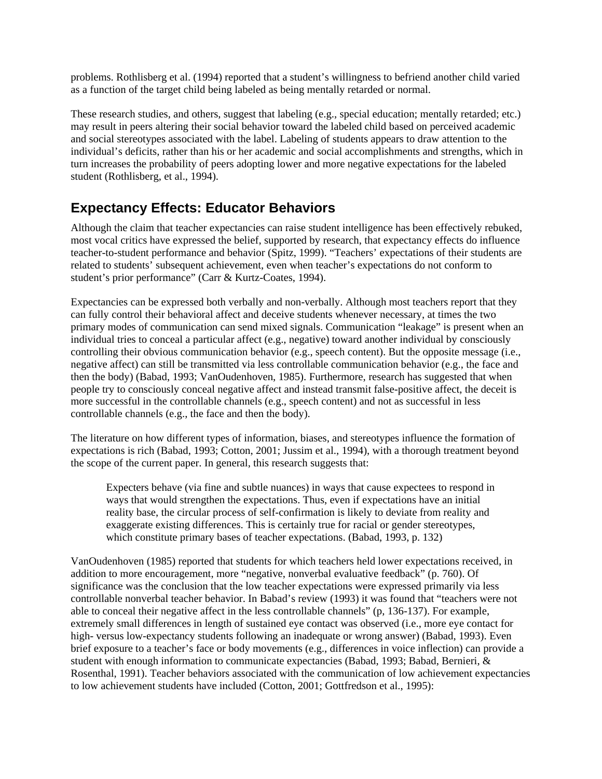problems. Rothlisberg et al. (1994) reported that a student's willingness to befriend another child varied as a function of the target child being labeled as being mentally retarded or normal.

These research studies, and others, suggest that labeling (e.g., special education; mentally retarded; etc.) may result in peers altering their social behavior toward the labeled child based on perceived academic and social stereotypes associated with the label. Labeling of students appears to draw attention to the individual's deficits, rather than his or her academic and social accomplishments and strengths, which in turn increases the probability of peers adopting lower and more negative expectations for the labeled student (Rothlisberg, et al., 1994).

#### **Expectancy Effects: Educator Behaviors**

student's prior performance" (Carr & Kurtz-Coates, 1994). Although the claim that teacher expectancies can raise student intelligence has been effectively rebuked, most vocal critics have expressed the belief, supported by research, that expectancy effects do influence teacher-to-student performance and behavior (Spitz, 1999). "Teachers' expectations of their students are related to students' subsequent achievement, even when teacher's expectations do not conform to

Expectancies can be expressed both verbally and non-verbally. Although most teachers report that they can fully control their behavioral affect and deceive students whenever necessary, at times the two primary modes of communication can send mixed signals. Communication "leakage" is present when an individual tries to conceal a particular affect (e.g., negative) toward another individual by consciously controlling their obvious communication behavior (e.g., speech content). But the opposite message (i.e., negative affect) can still be transmitted via less controllable communication behavior (e.g., the face and then the body) (Babad, 1993; VanOudenhoven, 1985). Furthermore, research has suggested that when people try to consciously conceal negative affect and instead transmit false-positive affect, the deceit is more successful in the controllable channels (e.g., speech content) and not as successful in less controllable channels (e.g., the face and then the body).

The literature on how different types of information, biases, and stereotypes influence the formation of expectations is rich (Babad, 1993; Cotton, 2001; Jussim et al., 1994), with a thorough treatment beyond the scope of the current paper. In general, this research suggests that:

Expecters behave (via fine and subtle nuances) in ways that cause expectees to respond in ways that would strengthen the expectations. Thus, even if expectations have an initial reality base, the circular process of self-confirmation is likely to deviate from reality and exaggerate existing differences. This is certainly true for racial or gender stereotypes, which constitute primary bases of teacher expectations. (Babad, 1993, p. 132)

VanOudenhoven (1985) reported that students for which teachers held lower expectations received, in addition to more encouragement, more "negative, nonverbal evaluative feedback" (p. 760). Of significance was the conclusion that the low teacher expectations were expressed primarily via less controllable nonverbal teacher behavior. In Babad's review (1993) it was found that "teachers were not able to conceal their negative affect in the less controllable channels" (p, 136-137). For example, extremely small differences in length of sustained eye contact was observed (i.e., more eye contact for high- versus low-expectancy students following an inadequate or wrong answer) (Babad, 1993). Even brief exposure to a teacher's face or body movements (e.g., differences in voice inflection) can provide a student with enough information to communicate expectancies (Babad, 1993; Babad, Bernieri, & Rosenthal, 1991). Teacher behaviors associated with the communication of low achievement expectancies to low achievement students have included (Cotton, 2001; Gottfredson et al., 1995):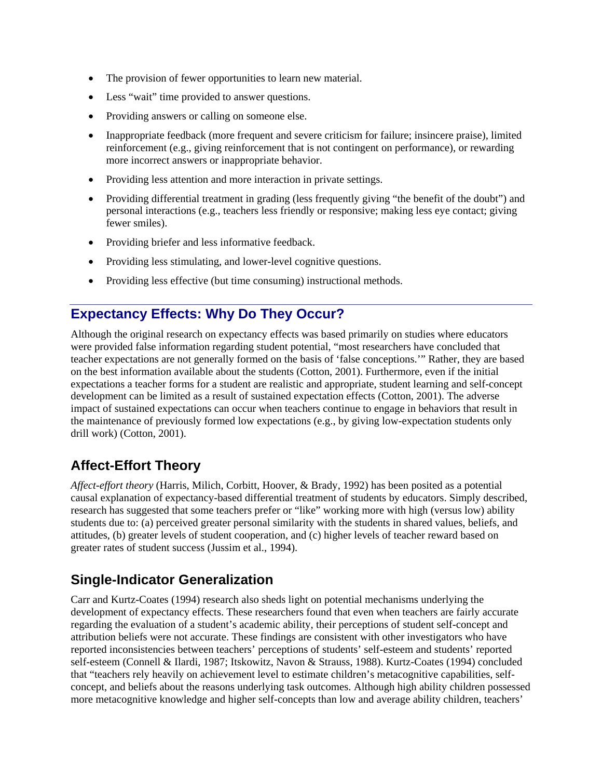- The provision of fewer opportunities to learn new material.
- Less "wait" time provided to answer questions.
- Providing answers or calling on someone else.
- Inappropriate feedback (more frequent and severe criticism for failure; insincere praise), limited reinforcement (e.g., giving reinforcement that is not contingent on performance), or rewarding more incorrect answers or inappropriate behavior.
- Providing less attention and more interaction in private settings.
- Providing differential treatment in grading (less frequently giving "the benefit of the doubt") and personal interactions (e.g., teachers less friendly or responsive; making less eye contact; giving fewer smiles).
- Providing briefer and less informative feedback.
- Providing less stimulating, and lower-level cognitive questions.
- Providing less effective (but time consuming) instructional methods.

#### **Expectancy Effects: Why Do They Occur?**

Although the original research on expectancy effects was based primarily on studies where educators were provided false information regarding student potential, "most researchers have concluded that teacher expectations are not generally formed on the basis of 'false conceptions.'" Rather, they are based on the best information available about the students (Cotton, 2001). Furthermore, even if the initial expectations a teacher forms for a student are realistic and appropriate, student learning and self-concept development can be limited as a result of sustained expectation effects (Cotton, 2001). The adverse impact of sustained expectations can occur when teachers continue to engage in behaviors that result in the maintenance of previously formed low expectations (e.g., by giving low-expectation students only drill work) (Cotton, 2001).

### **Affect-Effort Theory**

*Affect-effort theory* (Harris, Milich, Corbitt, Hoover, & Brady, 1992) has been posited as a potential causal explanation of expectancy-based differential treatment of students by educators. Simply described, research has suggested that some teachers prefer or "like" working more with high (versus low) ability students due to: (a) perceived greater personal similarity with the students in shared values, beliefs, and attitudes, (b) greater levels of student cooperation, and (c) higher levels of teacher reward based on greater rates of student success (Jussim et al., 1994).

#### **Single-Indicator Generalization**

 that "teachers rely heavily on achievement level to estimate children's metacognitive capabilities, self-Carr and Kurtz-Coates (1994) research also sheds light on potential mechanisms underlying the development of expectancy effects. These researchers found that even when teachers are fairly accurate regarding the evaluation of a student's academic ability, their perceptions of student self-concept and attribution beliefs were not accurate. These findings are consistent with other investigators who have reported inconsistencies between teachers' perceptions of students' self-esteem and students' reported self-esteem (Connell & Ilardi, 1987; Itskowitz, Navon & Strauss, 1988). Kurtz-Coates (1994) concluded concept, and beliefs about the reasons underlying task outcomes. Although high ability children possessed more metacognitive knowledge and higher self-concepts than low and average ability children, teachers'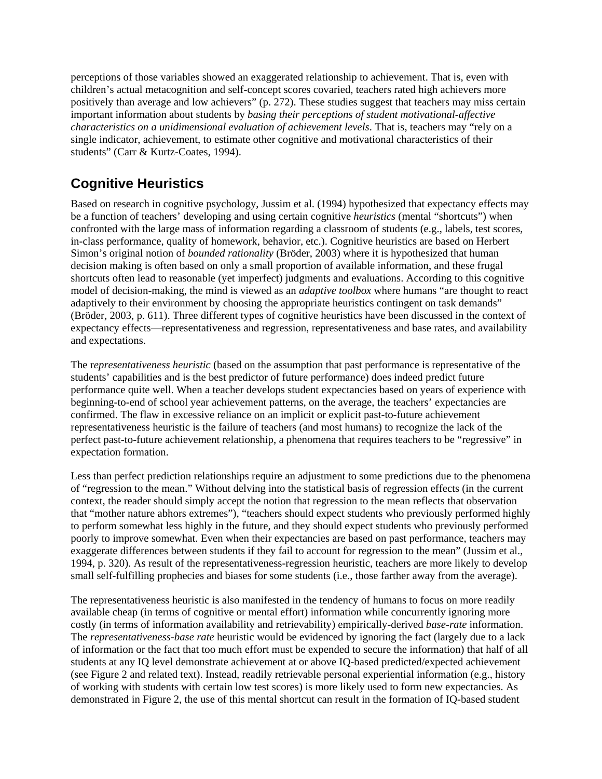perceptions of those variables showed an exaggerated relationship to achievement. That is, even with children's actual metacognition and self-concept scores covaried, teachers rated high achievers more positively than average and low achievers" (p. 272). These studies suggest that teachers may miss certain important information about students by *basing their perceptions of student motivational-affective characteristics on a unidimensional evaluation of achievement levels*. That is, teachers may "rely on a single indicator, achievement, to estimate other cognitive and motivational characteristics of their students" (Carr & Kurtz-Coates, 1994).

### **Cognitive Heuristics**

Based on research in cognitive psychology, Jussim et al. (1994) hypothesized that expectancy effects may be a function of teachers' developing and using certain cognitive *heuristics* (mental "shortcuts") when confronted with the large mass of information regarding a classroom of students (e.g., labels, test scores, in-class performance, quality of homework, behavior, etc.). Cognitive heuristics are based on Herbert Simon's original notion of *bounded rationality* (Bröder, 2003) where it is hypothesized that human decision making is often based on only a small proportion of available information, and these frugal shortcuts often lead to reasonable (yet imperfect) judgments and evaluations. According to this cognitive model of decision-making, the mind is viewed as an *adaptive toolbox* where humans "are thought to react adaptively to their environment by choosing the appropriate heuristics contingent on task demands" (Bröder, 2003, p. 611). Three different types of cognitive heuristics have been discussed in the context of expectancy effects—representativeness and regression, representativeness and base rates, and availability and expectations.

The r*epresentativeness heuristic* (based on the assumption that past performance is representative of the students' capabilities and is the best predictor of future performance) does indeed predict future performance quite well. When a teacher develops student expectancies based on years of experience with beginning-to-end of school year achievement patterns, on the average, the teachers' expectancies are confirmed. The flaw in excessive reliance on an implicit or explicit past-to-future achievement representativeness heuristic is the failure of teachers (and most humans) to recognize the lack of the perfect past-to-future achievement relationship, a phenomena that requires teachers to be "regressive" in expectation formation.

Less than perfect prediction relationships require an adjustment to some predictions due to the phenomena of "regression to the mean." Without delving into the statistical basis of regression effects (in the current context, the reader should simply accept the notion that regression to the mean reflects that observation that "mother nature abhors extremes"), "teachers should expect students who previously performed highly to perform somewhat less highly in the future, and they should expect students who previously performed poorly to improve somewhat. Even when their expectancies are based on past performance, teachers may exaggerate differences between students if they fail to account for regression to the mean" (Jussim et al., 1994, p. 320). As result of the representativeness-regression heuristic, teachers are more likely to develop small self-fulfilling prophecies and biases for some students (i.e., those farther away from the average).

The representativeness heuristic is also manifested in the tendency of humans to focus on more readily available cheap (in terms of cognitive or mental effort) information while concurrently ignoring more costly (in terms of information availability and retrievability) empirically-derived *base-rate* information. The *representativeness-base rate* heuristic would be evidenced by ignoring the fact (largely due to a lack of information or the fact that too much effort must be expended to secure the information) that half of all students at any IQ level demonstrate achievement at or above IQ-based predicted/expected achievement (see Figure 2 and related text). Instead, readily retrievable personal experiential information (e.g., history of working with students with certain low test scores) is more likely used to form new expectancies. As demonstrated in Figure 2, the use of this mental shortcut can result in the formation of IQ-based student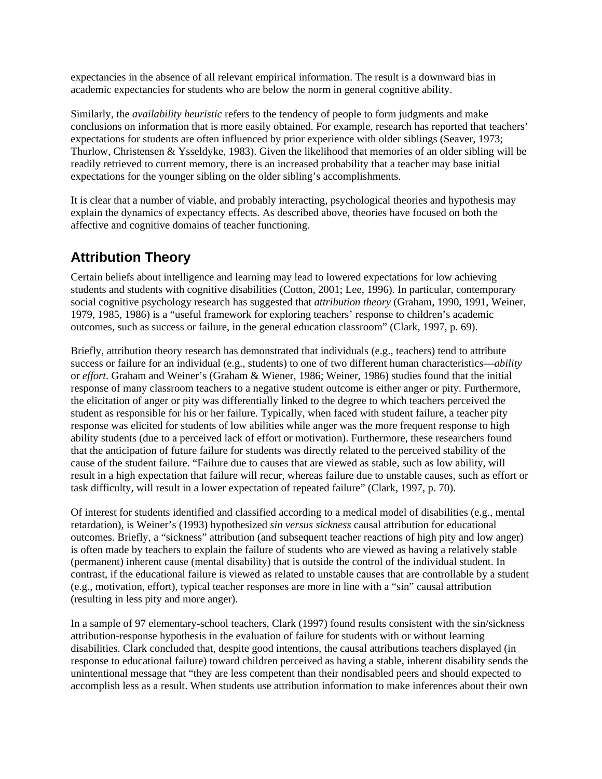expectancies in the absence of all relevant empirical information. The result is a downward bias in academic expectancies for students who are below the norm in general cognitive ability.

Similarly, the *availability heuristic* refers to the tendency of people to form judgments and make conclusions on information that is more easily obtained. For example, research has reported that teachers' expectations for students are often influenced by prior experience with older siblings (Seaver, 1973; Thurlow, Christensen & Ysseldyke, 1983). Given the likelihood that memories of an older sibling will be readily retrieved to current memory, there is an increased probability that a teacher may base initial expectations for the younger sibling on the older sibling's accomplishments.

It is clear that a number of viable, and probably interacting, psychological theories and hypothesis may explain the dynamics of expectancy effects. As described above, theories have focused on both the affective and cognitive domains of teacher functioning.

### **Attribution Theory**

Certain beliefs about intelligence and learning may lead to lowered expectations for low achieving students and students with cognitive disabilities (Cotton, 2001; Lee, 1996). In particular, contemporary social cognitive psychology research has suggested that *attribution theory* (Graham, 1990, 1991, Weiner, 1979, 1985, 1986) is a "useful framework for exploring teachers' response to children's academic outcomes, such as success or failure, in the general education classroom" (Clark, 1997, p. 69).

Briefly, attribution theory research has demonstrated that individuals (e.g., teachers) tend to attribute success or failure for an individual (e.g., students) to one of two different human characteristics—*ability*  or *effort*. Graham and Weiner's (Graham & Wiener, 1986; Weiner, 1986) studies found that the initial response of many classroom teachers to a negative student outcome is either anger or pity. Furthermore, the elicitation of anger or pity was differentially linked to the degree to which teachers perceived the student as responsible for his or her failure. Typically, when faced with student failure, a teacher pity response was elicited for students of low abilities while anger was the more frequent response to high ability students (due to a perceived lack of effort or motivation). Furthermore, these researchers found that the anticipation of future failure for students was directly related to the perceived stability of the cause of the student failure. "Failure due to causes that are viewed as stable, such as low ability, will result in a high expectation that failure will recur, whereas failure due to unstable causes, such as effort or task difficulty, will result in a lower expectation of repeated failure" (Clark, 1997, p. 70).

Of interest for students identified and classified according to a medical model of disabilities (e.g., mental retardation), is Weiner's (1993) hypothesized *sin versus sickness* causal attribution for educational outcomes. Briefly, a "sickness" attribution (and subsequent teacher reactions of high pity and low anger) is often made by teachers to explain the failure of students who are viewed as having a relatively stable (permanent) inherent cause (mental disability) that is outside the control of the individual student. In contrast, if the educational failure is viewed as related to unstable causes that are controllable by a student (e.g., motivation, effort), typical teacher responses are more in line with a "sin" causal attribution (resulting in less pity and more anger).

In a sample of 97 elementary-school teachers, Clark (1997) found results consistent with the sin/sickness attribution-response hypothesis in the evaluation of failure for students with or without learning disabilities. Clark concluded that, despite good intentions, the causal attributions teachers displayed (in response to educational failure) toward children perceived as having a stable, inherent disability sends the unintentional message that "they are less competent than their nondisabled peers and should expected to accomplish less as a result. When students use attribution information to make inferences about their own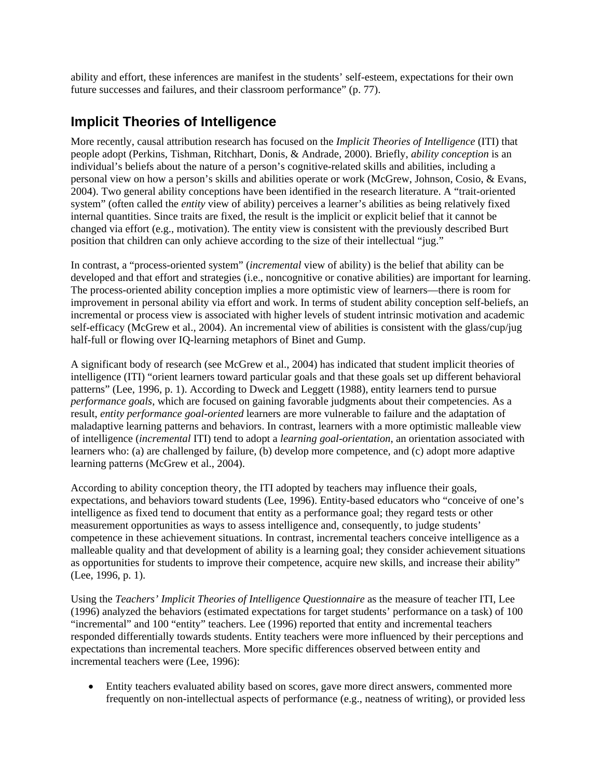ability and effort, these inferences are manifest in the students' self-esteem, expectations for their own future successes and failures, and their classroom performance" (p. 77).

#### **Implicit Theories of Intelligence**

More recently, causal attribution research has focused on the *Implicit Theories of Intelligence* (ITI) that people adopt (Perkins, Tishman, Ritchhart, Donis, & Andrade, 2000). Briefly, *ability conception* is an individual's beliefs about the nature of a person's cognitive-related skills and abilities, including a personal view on how a person's skills and abilities operate or work (McGrew, Johnson, Cosio, & Evans, 2004). Two general ability conceptions have been identified in the research literature. A "trait-oriented system" (often called the *entity* view of ability) perceives a learner's abilities as being relatively fixed internal quantities. Since traits are fixed, the result is the implicit or explicit belief that it cannot be changed via effort (e.g., motivation). The entity view is consistent with the previously described Burt position that children can only achieve according to the size of their intellectual "jug."

In contrast, a "process-oriented system" (*incremental* view of ability) is the belief that ability can be developed and that effort and strategies (i.e., noncognitive or conative abilities) are important for learning. The process-oriented ability conception implies a more optimistic view of learners—there is room for improvement in personal ability via effort and work. In terms of student ability conception self-beliefs, an incremental or process view is associated with higher levels of student intrinsic motivation and academic self-efficacy (McGrew et al., 2004). An incremental view of abilities is consistent with the glass/cup/jug half-full or flowing over IQ-learning metaphors of Binet and Gump.

A significant body of research (see McGrew et al., 2004) has indicated that student implicit theories of intelligence (ITI) "orient learners toward particular goals and that these goals set up different behavioral patterns" (Lee, 1996, p. 1). According to Dweck and Leggett (1988), entity learners tend to pursue *performance goals*, which are focused on gaining favorable judgments about their competencies. As a result, *entity performance goal-oriented* learners are more vulnerable to failure and the adaptation of maladaptive learning patterns and behaviors. In contrast, learners with a more optimistic malleable view of intelligence (*incremental* ITI) tend to adopt a *learning goal-orientation*, an orientation associated with learners who: (a) are challenged by failure, (b) develop more competence, and (c) adopt more adaptive learning patterns (McGrew et al., 2004).

According to ability conception theory, the ITI adopted by teachers may influence their goals, expectations, and behaviors toward students (Lee, 1996). Entity-based educators who "conceive of one's intelligence as fixed tend to document that entity as a performance goal; they regard tests or other measurement opportunities as ways to assess intelligence and, consequently, to judge students' competence in these achievement situations. In contrast, incremental teachers conceive intelligence as a malleable quality and that development of ability is a learning goal; they consider achievement situations as opportunities for students to improve their competence, acquire new skills, and increase their ability" (Lee, 1996, p. 1).

Using the *Teachers' Implicit Theories of Intelligence Questionnaire* as the measure of teacher ITI, Lee (1996) analyzed the behaviors (estimated expectations for target students' performance on a task) of 100 "incremental" and 100 "entity" teachers. Lee (1996) reported that entity and incremental teachers responded differentially towards students. Entity teachers were more influenced by their perceptions and expectations than incremental teachers. More specific differences observed between entity and incremental teachers were (Lee, 1996):

• Entity teachers evaluated ability based on scores, gave more direct answers, commented more frequently on non-intellectual aspects of performance (e.g., neatness of writing), or provided less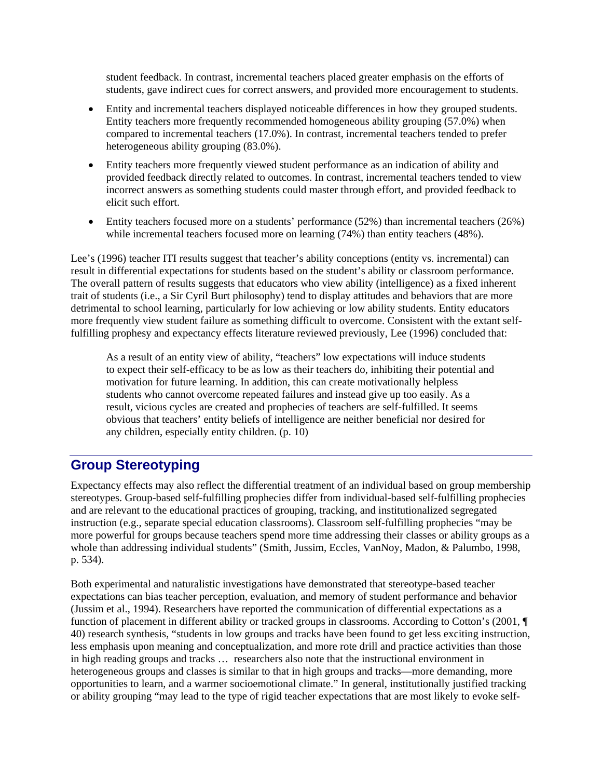student feedback. In contrast, incremental teachers placed greater emphasis on the efforts of students, gave indirect cues for correct answers, and provided more encouragement to students.

- Entity and incremental teachers displayed noticeable differences in how they grouped students. Entity teachers more frequently recommended homogeneous ability grouping (57.0%) when compared to incremental teachers (17.0%). In contrast, incremental teachers tended to prefer heterogeneous ability grouping (83.0%).
- Entity teachers more frequently viewed student performance as an indication of ability and provided feedback directly related to outcomes. In contrast, incremental teachers tended to view incorrect answers as something students could master through effort, and provided feedback to elicit such effort.
- Entity teachers focused more on a students' performance (52%) than incremental teachers (26%) while incremental teachers focused more on learning (74%) than entity teachers (48%).

Lee's (1996) teacher ITI results suggest that teacher's ability conceptions (entity vs. incremental) can result in differential expectations for students based on the student's ability or classroom performance. The overall pattern of results suggests that educators who view ability (intelligence) as a fixed inherent trait of students (i.e., a Sir Cyril Burt philosophy) tend to display attitudes and behaviors that are more detrimental to school learning, particularly for low achieving or low ability students. Entity educators more frequently view student failure as something difficult to overcome. Consistent with the extant selffulfilling prophesy and expectancy effects literature reviewed previously, Lee (1996) concluded that:

As a result of an entity view of ability, "teachers" low expectations will induce students to expect their self-efficacy to be as low as their teachers do, inhibiting their potential and motivation for future learning. In addition, this can create motivationally helpless students who cannot overcome repeated failures and instead give up too easily. As a result, vicious cycles are created and prophecies of teachers are self-fulfilled. It seems obvious that teachers' entity beliefs of intelligence are neither beneficial nor desired for any children, especially entity children. (p. 10)

#### **Group Stereotyping**

Expectancy effects may also reflect the differential treatment of an individual based on group membership stereotypes. Group-based self-fulfilling prophecies differ from individual-based self-fulfilling prophecies and are relevant to the educational practices of grouping, tracking, and institutionalized segregated instruction (e.g., separate special education classrooms). Classroom self-fulfilling prophecies "may be more powerful for groups because teachers spend more time addressing their classes or ability groups as a whole than addressing individual students" (Smith, Jussim, Eccles, VanNoy, Madon, & Palumbo, 1998, p. 534).

Both experimental and naturalistic investigations have demonstrated that stereotype-based teacher expectations can bias teacher perception, evaluation, and memory of student performance and behavior (Jussim et al., 1994). Researchers have reported the communication of differential expectations as a function of placement in different ability or tracked groups in classrooms. According to Cotton's (2001,  $\P$ ) 40) research synthesis, "students in low groups and tracks have been found to get less exciting instruction, less emphasis upon meaning and conceptualization, and more rote drill and practice activities than those in high reading groups and tracks … researchers also note that the instructional environment in heterogeneous groups and classes is similar to that in high groups and tracks—more demanding, more opportunities to learn, and a warmer socioemotional climate." In general, institutionally justified tracking or ability grouping "may lead to the type of rigid teacher expectations that are most likely to evoke self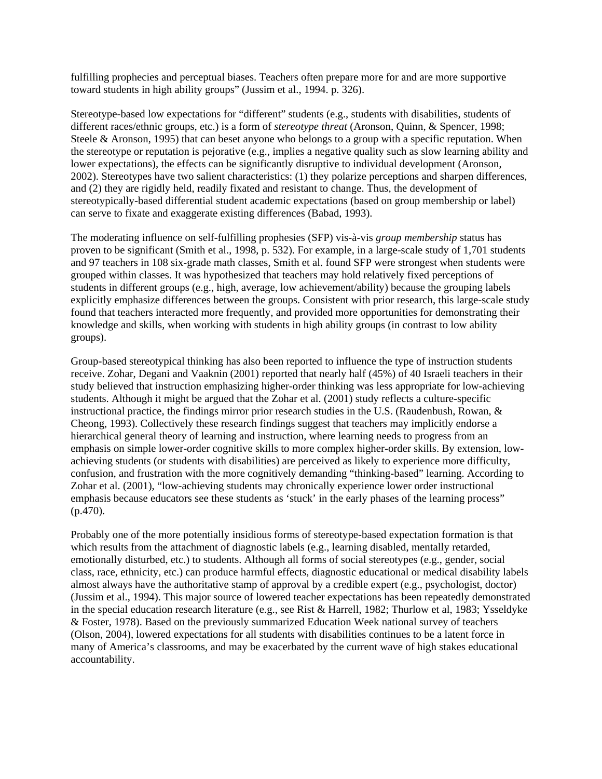fulfilling prophecies and perceptual biases. Teachers often prepare more for and are more supportive toward students in high ability groups" (Jussim et al., 1994. p. 326).

Stereotype-based low expectations for "different" students (e.g., students with disabilities, students of different races/ethnic groups, etc.) is a form of *stereotype threat* (Aronson, Quinn, & Spencer, 1998; Steele & Aronson, 1995) that can beset anyone who belongs to a group with a specific reputation. When the stereotype or reputation is pejorative (e.g., implies a negative quality such as slow learning ability and lower expectations), the effects can be significantly disruptive to individual development (Aronson, 2002). Stereotypes have two salient characteristics: (1) they polarize perceptions and sharpen differences, and (2) they are rigidly held, readily fixated and resistant to change. Thus, the development of stereotypically-based differential student academic expectations (based on group membership or label) can serve to fixate and exaggerate existing differences (Babad, 1993).

The moderating influence on self-fulfilling prophesies (SFP) vis-à-vis *group membership* status has proven to be significant (Smith et al., 1998, p. 532). For example, in a large-scale study of 1,701 students and 97 teachers in 108 six-grade math classes, Smith et al. found SFP were strongest when students were grouped within classes. It was hypothesized that teachers may hold relatively fixed perceptions of students in different groups (e.g., high, average, low achievement/ability) because the grouping labels explicitly emphasize differences between the groups. Consistent with prior research, this large-scale study found that teachers interacted more frequently, and provided more opportunities for demonstrating their knowledge and skills, when working with students in high ability groups (in contrast to low ability groups).

Group-based stereotypical thinking has also been reported to influence the type of instruction students receive. Zohar, Degani and Vaaknin (2001) reported that nearly half (45%) of 40 Israeli teachers in their study believed that instruction emphasizing higher-order thinking was less appropriate for low-achieving students. Although it might be argued that the Zohar et al. (2001) study reflects a culture-specific instructional practice, the findings mirror prior research studies in the U.S. (Raudenbush, Rowan, & Cheong, 1993). Collectively these research findings suggest that teachers may implicitly endorse a hierarchical general theory of learning and instruction, where learning needs to progress from an emphasis on simple lower-order cognitive skills to more complex higher-order skills. By extension, lowachieving students (or students with disabilities) are perceived as likely to experience more difficulty, confusion, and frustration with the more cognitively demanding "thinking-based" learning. According to Zohar et al. (2001), "low-achieving students may chronically experience lower order instructional emphasis because educators see these students as 'stuck' in the early phases of the learning process" (p.470).

Probably one of the more potentially insidious forms of stereotype-based expectation formation is that which results from the attachment of diagnostic labels (e.g., learning disabled, mentally retarded, emotionally disturbed, etc.) to students. Although all forms of social stereotypes (e.g., gender, social class, race, ethnicity, etc.) can produce harmful effects, diagnostic educational or medical disability labels almost always have the authoritative stamp of approval by a credible expert (e.g., psychologist, doctor) (Jussim et al., 1994). This major source of lowered teacher expectations has been repeatedly demonstrated in the special education research literature (e.g., see Rist & Harrell, 1982; Thurlow et al, 1983; Ysseldyke & Foster, 1978). Based on the previously summarized Education Week national survey of teachers (Olson, 2004), lowered expectations for all students with disabilities continues to be a latent force in many of America's classrooms, and may be exacerbated by the current wave of high stakes educational accountability.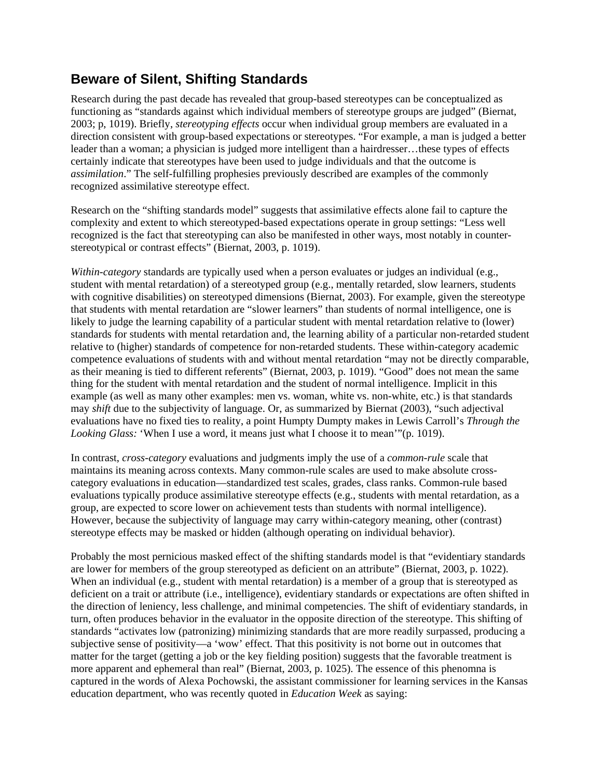#### **Beware of Silent, Shifting Standards**

Research during the past decade has revealed that group-based stereotypes can be conceptualized as functioning as "standards against which individual members of stereotype groups are judged" (Biernat, 2003; p, 1019). Briefly, *stereotyping effects* occur when individual group members are evaluated in a direction consistent with group-based expectations or stereotypes. "For example, a man is judged a better leader than a woman; a physician is judged more intelligent than a hairdresser…these types of effects certainly indicate that stereotypes have been used to judge individuals and that the outcome is *assimilation*." The self-fulfilling prophesies previously described are examples of the commonly recognized assimilative stereotype effect.

Research on the "shifting standards model" suggests that assimilative effects alone fail to capture the complexity and extent to which stereotyped-based expectations operate in group settings: "Less well recognized is the fact that stereotyping can also be manifested in other ways, most notably in counterstereotypical or contrast effects" (Biernat, 2003, p. 1019).

*Within-category* standards are typically used when a person evaluates or judges an individual (e.g., student with mental retardation) of a stereotyped group (e.g., mentally retarded, slow learners, students with cognitive disabilities) on stereotyped dimensions (Biernat, 2003). For example, given the stereotype that students with mental retardation are "slower learners" than students of normal intelligence, one is likely to judge the learning capability of a particular student with mental retardation relative to (lower) standards for students with mental retardation and, the learning ability of a particular non-retarded student relative to (higher) standards of competence for non-retarded students. These within-category academic competence evaluations of students with and without mental retardation "may not be directly comparable, as their meaning is tied to different referents" (Biernat, 2003, p. 1019). "Good" does not mean the same thing for the student with mental retardation and the student of normal intelligence. Implicit in this example (as well as many other examples: men vs. woman, white vs. non-white, etc.) is that standards may *shift* due to the subjectivity of language. Or, as summarized by Biernat (2003), "such adjectival evaluations have no fixed ties to reality, a point Humpty Dumpty makes in Lewis Carroll's *Through the Looking Glass:* 'When I use a word, it means just what I choose it to mean''(p. 1019).

In contrast, *cross-category* evaluations and judgments imply the use of a *common-rule* scale that maintains its meaning across contexts. Many common-rule scales are used to make absolute crosscategory evaluations in education—standardized test scales, grades, class ranks. Common-rule based evaluations typically produce assimilative stereotype effects (e.g., students with mental retardation, as a group, are expected to score lower on achievement tests than students with normal intelligence). However, because the subjectivity of language may carry within-category meaning, other (contrast) stereotype effects may be masked or hidden (although operating on individual behavior).

 education department, who was recently quoted in *Education Week* as saying: Probably the most pernicious masked effect of the shifting standards model is that "evidentiary standards are lower for members of the group stereotyped as deficient on an attribute" (Biernat, 2003, p. 1022). When an individual (e.g., student with mental retardation) is a member of a group that is stereotyped as deficient on a trait or attribute (i.e., intelligence), evidentiary standards or expectations are often shifted in the direction of leniency, less challenge, and minimal competencies. The shift of evidentiary standards, in turn, often produces behavior in the evaluator in the opposite direction of the stereotype. This shifting of standards "activates low (patronizing) minimizing standards that are more readily surpassed, producing a subjective sense of positivity—a 'wow' effect. That this positivity is not borne out in outcomes that matter for the target (getting a job or the key fielding position) suggests that the favorable treatment is more apparent and ephemeral than real" (Biernat, 2003, p. 1025). The essence of this phenomna is captured in the words of Alexa Pochowski, the assistant commissioner for learning services in the Kansas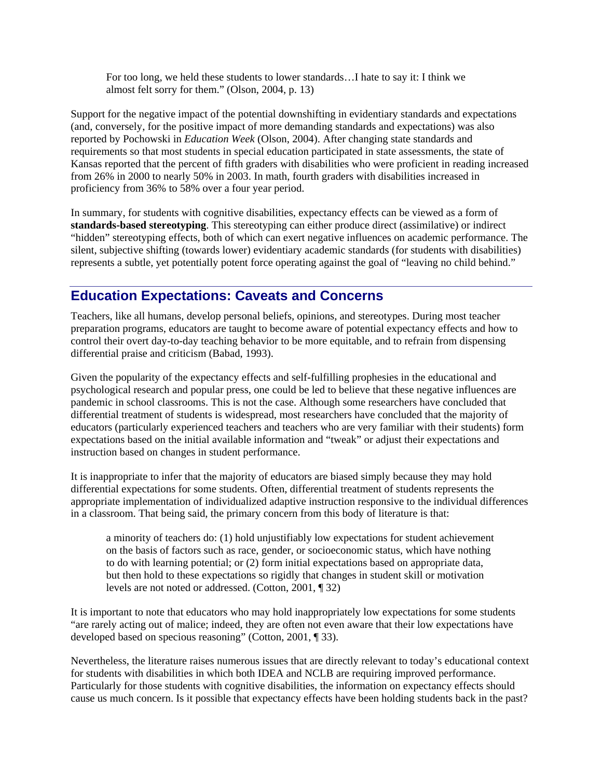For too long, we held these students to lower standards…I hate to say it: I think we almost felt sorry for them." (Olson, 2004, p. 13)

Support for the negative impact of the potential downshifting in evidentiary standards and expectations (and, conversely, for the positive impact of more demanding standards and expectations) was also reported by Pochowski in *Education Week* (Olson, 2004). After changing state standards and requirements so that most students in special education participated in state assessments, the state of Kansas reported that the percent of fifth graders with disabilities who were proficient in reading increased from 26% in 2000 to nearly 50% in 2003. In math, fourth graders with disabilities increased in proficiency from 36% to 58% over a four year period.

In summary, for students with cognitive disabilities, expectancy effects can be viewed as a form of **standards-based stereotyping**. This stereotyping can either produce direct (assimilative) or indirect "hidden" stereotyping effects, both of which can exert negative influences on academic performance. The silent, subjective shifting (towards lower) evidentiary academic standards (for students with disabilities) represents a subtle, yet potentially potent force operating against the goal of "leaving no child behind."

#### **Education Expectations: Caveats and Concerns**

Teachers, like all humans, develop personal beliefs, opinions, and stereotypes. During most teacher preparation programs, educators are taught to become aware of potential expectancy effects and how to control their overt day-to-day teaching behavior to be more equitable, and to refrain from dispensing differential praise and criticism (Babad, 1993).

Given the popularity of the expectancy effects and self-fulfilling prophesies in the educational and psychological research and popular press, one could be led to believe that these negative influences are pandemic in school classrooms. This is not the case. Although some researchers have concluded that differential treatment of students is widespread, most researchers have concluded that the majority of educators (particularly experienced teachers and teachers who are very familiar with their students) form expectations based on the initial available information and "tweak" or adjust their expectations and instruction based on changes in student performance.

It is inappropriate to infer that the majority of educators are biased simply because they may hold differential expectations for some students. Often, differential treatment of students represents the appropriate implementation of individualized adaptive instruction responsive to the individual differences in a classroom. That being said, the primary concern from this body of literature is that:

a minority of teachers do: (1) hold unjustifiably low expectations for student achievement on the basis of factors such as race, gender, or socioeconomic status, which have nothing to do with learning potential; or (2) form initial expectations based on appropriate data, but then hold to these expectations so rigidly that changes in student skill or motivation levels are not noted or addressed. (Cotton, 2001, ¶ 32)

It is important to note that educators who may hold inappropriately low expectations for some students "are rarely acting out of malice; indeed, they are often not even aware that their low expectations have developed based on specious reasoning" (Cotton, 2001, ¶ 33).

Nevertheless, the literature raises numerous issues that are directly relevant to today's educational context for students with disabilities in which both IDEA and NCLB are requiring improved performance. Particularly for those students with cognitive disabilities, the information on expectancy effects should cause us much concern. Is it possible that expectancy effects have been holding students back in the past?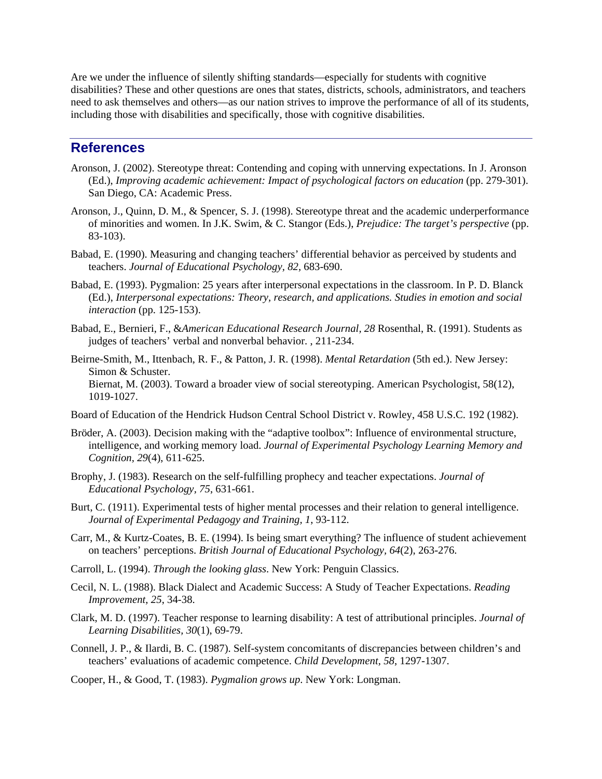Are we under the influence of silently shifting standards—especially for students with cognitive disabilities? These and other questions are ones that states, districts, schools, administrators, and teachers need to ask themselves and others—as our nation strives to improve the performance of all of its students, including those with disabilities and specifically, those with cognitive disabilities.

#### **References**

- Aronson, J. (2002). Stereotype threat: Contending and coping with unnerving expectations. In J. Aronson (Ed.), *Improving academic achievement: Impact of psychological factors on education* (pp. 279-301). San Diego, CA: Academic Press.
- Aronson, J., Quinn, D. M., & Spencer, S. J. (1998). Stereotype threat and the academic underperformance of minorities and women. In J.K. Swim, & C. Stangor (Eds.), *Prejudice: The target's perspective* (pp. 83-103).
- Babad, E. (1990). Measuring and changing teachers' differential behavior as perceived by students and teachers. *Journal of Educational Psychology, 82,* 683-690.
- Babad, E. (1993). Pygmalion: 25 years after interpersonal expectations in the classroom. In P. D. Blanck (Ed.), *Interpersonal expectations: Theory, research, and applications. Studies in emotion and social interaction* (pp. 125-153).
- Babad, E., Bernieri, F., &*American Educational Research Journal, 28* Rosenthal, R. (1991). Students as judges of teachers' verbal and nonverbal behavior. , 211-234.
- Beirne-Smith, M., Ittenbach, R. F., & Patton, J. R. (1998). *Mental Retardation* (5th ed.). New Jersey: Simon & Schuster. Biernat, M. (2003). Toward a broader view of social stereotyping. American Psychologist, 58(12), 1019-1027.
- Board of Education of the Hendrick Hudson Central School District v. Rowley, 458 U.S.C. 192 (1982).
- Bröder, A. (2003). Decision making with the "adaptive toolbox": Influence of environmental structure, intelligence, and working memory load. *Journal of Experimental Psychology Learning Memory and Cognition, 29*(4), 611-625.
- Brophy, J. (1983). Research on the self-fulfilling prophecy and teacher expectations. *Journal of Educational Psychology, 75*, 631-661.
- Burt, C. (1911). Experimental tests of higher mental processes and their relation to general intelligence. *Journal of Experimental Pedagogy and Training, 1*, 93-112.
- Carr, M., & Kurtz-Coates, B. E. (1994). Is being smart everything? The influence of student achievement on teachers' perceptions. *British Journal of Educational Psychology, 64*(2), 263-276.
- Carroll, L. (1994). *Through the looking glass*. New York: Penguin Classics.
- Cecil, N. L. (1988). Black Dialect and Academic Success: A Study of Teacher Expectations. *Reading Improvement, 25*, 34-38.
- Clark, M. D. (1997). Teacher response to learning disability: A test of attributional principles. *Journal of Learning Disabilities, 30*(1), 69-79.
- Connell, J. P., & Ilardi, B. C. (1987). Self-system concomitants of discrepancies between children's and teachers' evaluations of academic competence. *Child Development, 58*, 1297-1307.

Cooper, H., & Good, T. (1983). *Pygmalion grows up*. New York: Longman.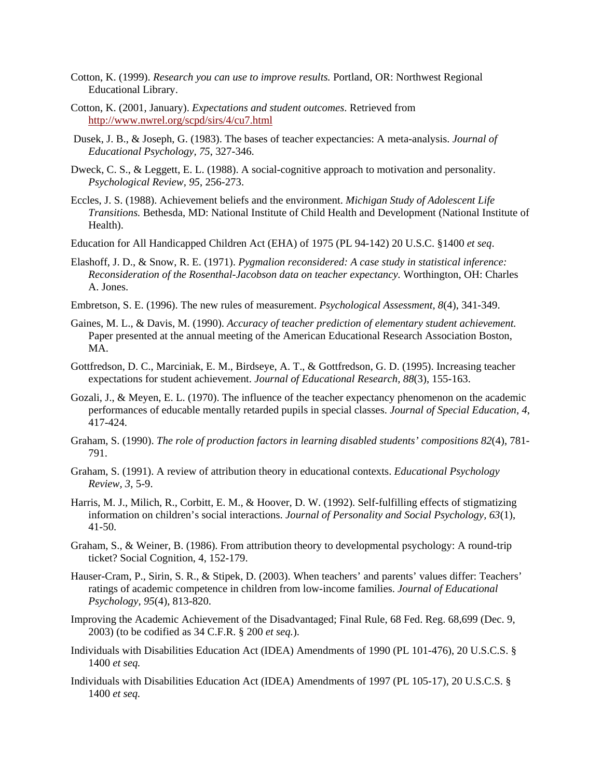- Cotton, K. (1999). *Research you can use to improve results.* Portland, OR: Northwest Regional Educational Library.
- Cotton, K. (2001, January). *Expectations and student outcomes*. Retrieved from <http://www.nwrel.org/scpd/sirs/4/cu7.html>
- Dusek, J. B., & Joseph, G. (1983). The bases of teacher expectancies: A meta-analysis. *Journal of Educational Psychology, 75*, 327-346.
- Dweck, C. S., & Leggett, E. L. (1988). A social-cognitive approach to motivation and personality. *Psychological Review, 95*, 256-273.
- Eccles, J. S. (1988). Achievement beliefs and the environment. *Michigan Study of Adolescent Life Transitions.* Bethesda, MD: National Institute of Child Health and Development (National Institute of Health).
- Education for All Handicapped Children Act (EHA) of 1975 (PL 94-142) 20 U.S.C. §1400 *et seq*.
- Elashoff, J. D., & Snow, R. E. (1971). *Pygmalion reconsidered: A case study in statistical inference: Reconsideration of the Rosenthal-Jacobson data on teacher expectancy.* Worthington, OH: Charles A. Jones.
- Embretson, S. E. (1996). The new rules of measurement. *Psychological Assessment, 8*(4), 341-349.
- Gaines, M. L., & Davis, M. (1990). *Accuracy of teacher prediction of elementary student achievement.*  Paper presented at the annual meeting of the American Educational Research Association Boston, MA.
- Gottfredson, D. C., Marciniak, E. M., Birdseye, A. T., & Gottfredson, G. D. (1995). Increasing teacher expectations for student achievement. *Journal of Educational Research, 88*(3), 155-163.
- Gozali, J., & Meyen, E. L. (1970). The influence of the teacher expectancy phenomenon on the academic performances of educable mentally retarded pupils in special classes. *Journal of Special Education, 4*, 417-424.
- Graham, S. (1990). *The role of production factors in learning disabled students' compositions 82*(4), 781- 791.
- Graham, S. (1991). A review of attribution theory in educational contexts. *Educational Psychology Review, 3*, 5-9.
- $41 50$ . Harris, M. J., Milich, R., Corbitt, E. M., & Hoover, D. W. (1992). Self-fulfilling effects of stigmatizing information on children's social interactions. *Journal of Personality and Social Psychology, 63*(1),
- Graham, S., & Weiner, B. (1986). From attribution theory to developmental psychology: A round-trip ticket? Social Cognition, 4, 152-179.
- Hauser-Cram, P., Sirin, S. R., & Stipek, D. (2003). When teachers' and parents' values differ: Teachers' ratings of academic competence in children from low-income families. *Journal of Educational Psychology, 95*(4), 813-820.
- Improving the Academic Achievement of the Disadvantaged; Final Rule, 68 Fed. Reg. 68,699 (Dec. 9, 2003) (to be codified as 34 C.F.R. § 200 *et seq.*).
- Individuals with Disabilities Education Act (IDEA) Amendments of 1990 (PL 101-476), 20 U.S.C.S. § 1400 *et seq.*
- Individuals with Disabilities Education Act (IDEA) Amendments of 1997 (PL 105-17), 20 U.S.C.S. § 1400 *et seq.*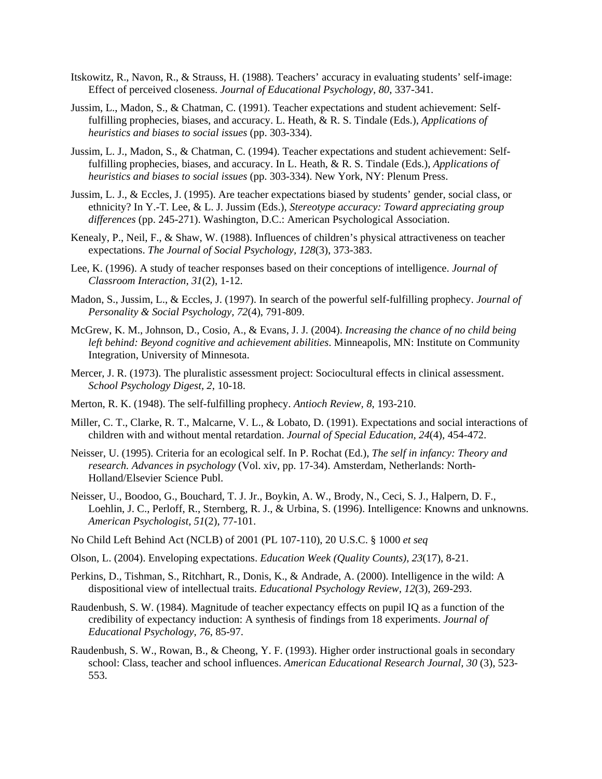- Itskowitz, R., Navon, R., & Strauss, H. (1988). Teachers' accuracy in evaluating students' self-image: Effect of perceived closeness. *Journal of Educational Psychology, 80*, 337-341.
- Jussim, L., Madon, S., & Chatman, C. (1991). Teacher expectations and student achievement: Selffulfilling prophecies, biases, and accuracy. L. Heath, & R. S. Tindale (Eds.), *Applications of heuristics and biases to social issues* (pp. 303-334).
- Jussim, L. J., Madon, S., & Chatman, C. (1994). Teacher expectations and student achievement: Selffulfilling prophecies, biases, and accuracy. In L. Heath, & R. S. Tindale (Eds.), *Applications of heuristics and biases to social issues* (pp. 303-334). New York, NY: Plenum Press.
- Jussim, L. J., & Eccles, J. (1995). Are teacher expectations biased by students' gender, social class, or ethnicity? In Y.-T. Lee, & L. J. Jussim (Eds.), *Stereotype accuracy: Toward appreciating group differences* (pp. 245-271). Washington, D.C.: American Psychological Association.
- Kenealy, P., Neil, F., & Shaw, W. (1988). Influences of children's physical attractiveness on teacher expectations. *The Journal of Social Psychology, 128*(3), 373-383.
- Lee, K. (1996). A study of teacher responses based on their conceptions of intelligence. *Journal of Classroom Interaction, 31*(2), 1-12.
- Madon, S., Jussim, L., & Eccles, J. (1997). In search of the powerful self-fulfilling prophecy. *Journal of Personality & Social Psychology, 72*(4), 791-809.
- McGrew, K. M., Johnson, D., Cosio, A., & Evans, J. J. (2004). *Increasing the chance of no child being left behind: Beyond cognitive and achievement abilities*. Minneapolis, MN: Institute on Community Integration, University of Minnesota.
- Mercer, J. R. (1973). The pluralistic assessment project: Sociocultural effects in clinical assessment. *School Psychology Digest, 2*, 10-18.
- Merton, R. K. (1948). The self-fulfilling prophecy. *Antioch Review, 8*, 193-210.
- Miller, C. T., Clarke, R. T., Malcarne, V. L., & Lobato, D. (1991). Expectations and social interactions of children with and without mental retardation. *Journal of Special Education, 24*(4), 454-472.
- Neisser, U. (1995). Criteria for an ecological self. In P. Rochat (Ed.), *The self in infancy: Theory and research. Advances in psychology* (Vol. xiv, pp. 17-34). Amsterdam, Netherlands: North-Holland/Elsevier Science Publ.
- Neisser, U., Boodoo, G., Bouchard, T. J. Jr., Boykin, A. W., Brody, N., Ceci, S. J., Halpern, D. F., Loehlin, J. C., Perloff, R., Sternberg, R. J., & Urbina, S. (1996). Intelligence: Knowns and unknowns. *American Psychologist, 51*(2), 77-101.
- No Child Left Behind Act (NCLB) of 2001 (PL 107-110), 20 U.S.C. § 1000 *et seq*
- Olson, L. (2004). Enveloping expectations. *Education Week (Quality Counts), 23*(17), 8-21.
- Perkins, D., Tishman, S., Ritchhart, R., Donis, K., & Andrade, A. (2000). Intelligence in the wild: A dispositional view of intellectual traits. *Educational Psychology Review, 12*(3), 269-293.
- Raudenbush, S. W. (1984). Magnitude of teacher expectancy effects on pupil IQ as a function of the credibility of expectancy induction: A synthesis of findings from 18 experiments. *Journal of Educational Psychology, 76*, 85-97.
- Raudenbush, S. W., Rowan, B., & Cheong, Y. F. (1993). Higher order instructional goals in secondary school: Class, teacher and school influences. *American Educational Research Journal, 30* (3), 523- 553.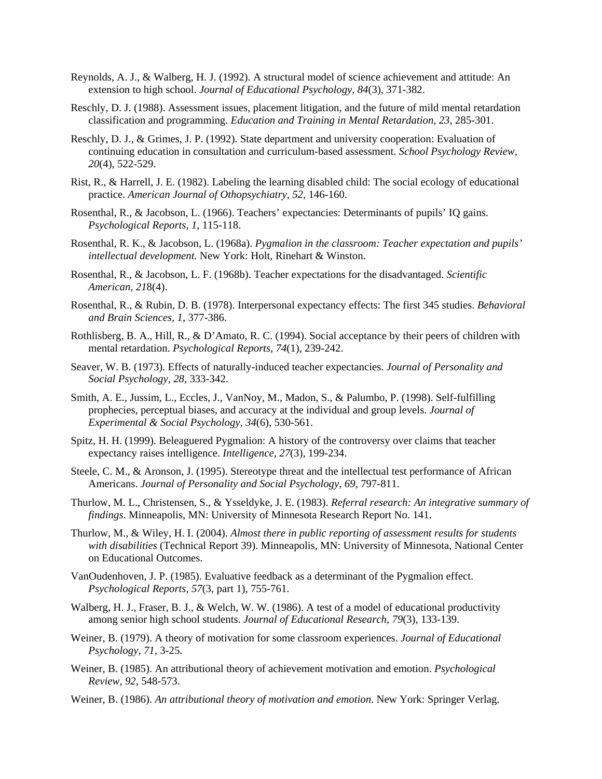- Reynolds, A. J., & Walberg, H. J. (1992). A structural model of science achievement and attitude: An extension to high school. *Journal of Educational Psychology, 84*(3), 371-382.
- Reschly, D. J. (1988). Assessment issues, placement litigation, and the future of mild mental retardation classification and programming. *Education and Training in Mental Retardation, 23,* 285-301.
- Reschly, D. J., & Grimes, J. P. (1992). State department and university cooperation: Evaluation of continuing education in consultation and curriculum-based assessment. *School Psychology Review, 20*(4), 522-529.
- Rist, R., & Harrell, J. E. (1982). Labeling the learning disabled child: The social ecology of educational practice. *American Journal of Othopsychiatry, 52*, 146-160.
- Rosenthal, R., & Jacobson, L. (1966). Teachers' expectancies: Determinants of pupils' IQ gains. *Psychological Reports, 1*, 115-118.
- Rosenthal, R. K., & Jacobson, L. (1968a). *Pygmalion in the classroom: Teacher expectation and pupils' intellectual development.* New York: Holt, Rinehart & Winston.
- Rosenthal, R., & Jacobson, L. F. (1968b). Teacher expectations for the disadvantaged. *Scientific American, 21*8(4).
- Rosenthal, R., & Rubin, D. B. (1978). Interpersonal expectancy effects: The first 345 studies. *Behavioral and Brain Sciences, 1*, 377-386.
- Rothlisberg, B. A., Hill, R., & D'Amato, R. C. (1994). Social acceptance by their peers of children with mental retardation. *Psychological Reports, 74*(1), 239-242.
- Seaver, W. B. (1973). Effects of naturally-induced teacher expectancies. *Journal of Personality and Social Psychology, 28,* 333-342.
- Smith, A. E., Jussim, L., Eccles, J., VanNoy, M., Madon, S., & Palumbo, P. (1998). Self-fulfilling prophecies, perceptual biases, and accuracy at the individual and group levels. *Journal of Experimental & Social Psychology, 34*(6), 530-561.
- Spitz, H. H. (1999). Beleaguered Pygmalion: A history of the controversy over claims that teacher expectancy raises intelligence. *Intelligence, 27*(3), 199-234.
- Steele, C. M., & Aronson, J. (1995). Stereotype threat and the intellectual test performance of African Americans. *Journal of Personality and Social Psychology, 69*, 797-811.
- Thurlow, M. L., Christensen, S., & Ysseldyke, J. E. (1983). *Referral research: An integrative summary of findings*. Minneapolis, MN: University of Minnesota Research Report No. 141.
- Thurlow, M., & Wiley, H. I. (2004). *Almost there in public reporting of assessment results for students with disabilities* (Technical Report 39). Minneapolis, MN: University of Minnesota, National Center on Educational Outcomes.
- VanOudenhoven, J. P. (1985). Evaluative feedback as a determinant of the Pygmalion effect. *Psychological Reports, 57*(3, part 1), 755-761.
- Walberg, H. J., Fraser, B. J., & Welch, W. W. (1986). A test of a model of educational productivity among senior high school students. *Journal of Educational Research, 79*(3), 133-139.
- Weiner, B. (1979). A theory of motivation for some classroom experiences. *Journal of Educational Psychology, 71*, 3-25.
- Weiner, B. (1985). An attributional theory of achievement motivation and emotion. *Psychological Review, 92,* 548-573.
- Weiner, B. (1986). *An attributional theory of motivation and emotion*. New York: Springer Verlag.